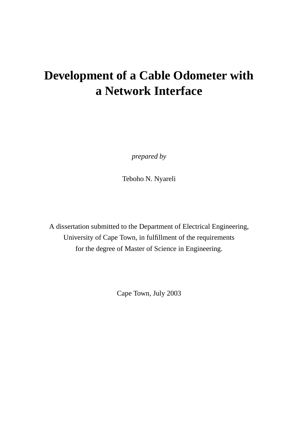# **Development of a Cable Odometer with a Network Interface**

*prepared by*

Teboho N. Nyareli

A dissertation submitted to the Department of Electrical Engineering, University of Cape Town, in fulfillment of the requirements for the degree of Master of Science in Engineering.

Cape Town, July 2003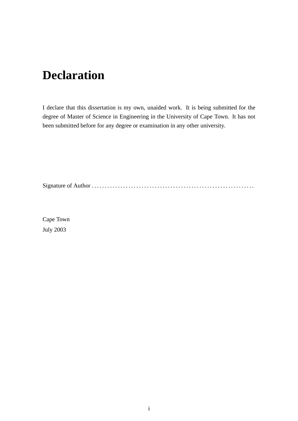# **Declaration**

I declare that this dissertation is my own, unaided work. It is being submitted for the degree of Master of Science in Engineering in the University of Cape Town. It has not been submitted before for any degree or examination in any other university.

Signature of Author . . . . . . . . . . . . . . . . . . . . . . . . . . . . . . . . . . . . . . . . . . . . . . . . . . . . . . . . . . . . . .

Cape Town July 2003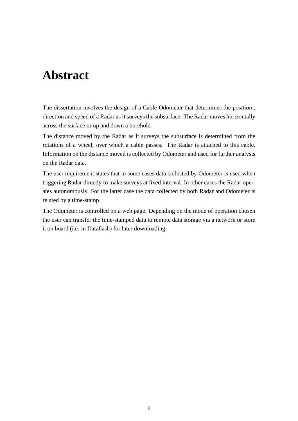# **Abstract**

The dissertation involves the design of a Cable Odometer that determines the position , direction and speed of a Radar as it surveys the subsurface. The Radar moves horizontally across the surface or up and down a borehole.

The distance moved by the Radar as it surveys the subsurface is determined from the rotations of a wheel, over which a cable passes. The Radar is attached to this cable. Information on the distance moved is collected by Odometer and used for further analysis on the Radar data.

The user requirement states that in some cases data collected by Odometer is used when triggering Radar directly to make surveys at fixed interval. In other cases the Radar operates autonomously. For the latter case the data collected by both Radar and Odometer is related by a time-stamp.

The Odometer is controlled on a web page. Depending on the mode of operation chosen the user can transfer the time-stamped data to remote data storage via a network or store it on board (i.e. in Dataflash) for later downloading.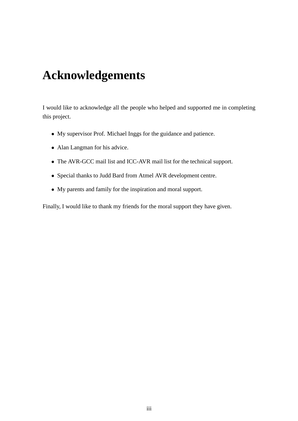# **Acknowledgements**

I would like to acknowledge all the people who helped and supported me in completing this project.

- My supervisor Prof. Michael Inggs for the guidance and patience.
- Alan Langman for his advice.
- The AVR-GCC mail list and ICC-AVR mail list for the technical support.
- Special thanks to Judd Bard from Atmel AVR development centre.
- My parents and family for the inspiration and moral support.

Finally, I would like to thank my friends for the moral support they have given.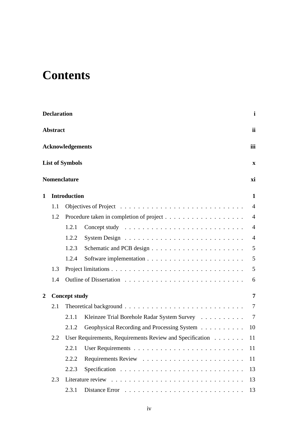# **Contents**

|   | <b>Declaration</b> |                         |                                                             | $\mathbf i$    |
|---|--------------------|-------------------------|-------------------------------------------------------------|----------------|
|   | <b>Abstract</b>    |                         |                                                             | ii             |
|   |                    | <b>Acknowledgements</b> |                                                             | iii            |
|   |                    | <b>List of Symbols</b>  |                                                             | $\mathbf X$    |
|   |                    | <b>Nomenclature</b>     |                                                             | xi             |
| 1 |                    | <b>Introduction</b>     |                                                             | $\mathbf{1}$   |
|   | 1.1                |                         |                                                             | $\overline{4}$ |
|   | 1.2                |                         |                                                             | $\overline{4}$ |
|   |                    | 1.2.1                   |                                                             | $\overline{4}$ |
|   |                    | 1.2.2                   |                                                             | $\overline{4}$ |
|   |                    | 1.2.3                   |                                                             | 5              |
|   |                    | 1.2.4                   |                                                             | 5              |
|   | 1.3                |                         |                                                             | 5              |
|   | 1.4                |                         |                                                             | 6              |
| 2 |                    | <b>Concept study</b>    |                                                             | $\overline{7}$ |
|   | 2.1                |                         |                                                             | $\tau$         |
|   |                    | 2.1.1                   | Kleinzee Trial Borehole Radar System Survey                 | 7              |
|   |                    | 2.1.2                   | Geophysical Recording and Processing System                 | 10             |
|   | 2.2                |                         | User Requirements, Requirements Review and Specification 11 |                |
|   |                    | 2.2.1                   |                                                             | 11             |
|   |                    | 2.2.2                   |                                                             | 11             |
|   |                    | 2.2.3                   |                                                             | 13             |
|   | 2.3                |                         |                                                             | 13             |
|   |                    | 2.3.1                   |                                                             | 13             |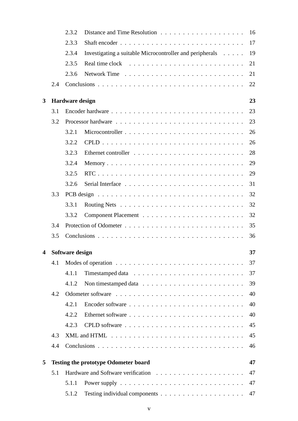|                         |     | 2.3.2                  |                                                          | 16 |
|-------------------------|-----|------------------------|----------------------------------------------------------|----|
|                         |     | 2.3.3                  |                                                          | 17 |
|                         |     | 2.3.4                  | Investigating a suitable Microcontroller and peripherals | 19 |
|                         |     | 2.3.5                  | Real time clock                                          | 21 |
|                         |     | 2.3.6                  |                                                          | 21 |
|                         | 2.4 |                        |                                                          | 22 |
| 3                       |     | <b>Hardware design</b> |                                                          | 23 |
|                         | 3.1 |                        |                                                          | 23 |
|                         | 3.2 |                        |                                                          | 23 |
|                         |     | 3.2.1                  |                                                          | 26 |
|                         |     | 3.2.2                  |                                                          | 26 |
|                         |     | 3.2.3                  |                                                          | 28 |
|                         |     | 3.2.4                  |                                                          | 29 |
|                         |     | 3.2.5                  |                                                          | 29 |
|                         |     | 3.2.6                  |                                                          | 31 |
|                         | 3.3 |                        |                                                          | 32 |
|                         |     | 3.3.1                  |                                                          | 32 |
|                         |     | 3.3.2                  |                                                          | 32 |
|                         | 3.4 |                        |                                                          | 35 |
|                         | 3.5 |                        |                                                          | 36 |
| $\overline{\mathbf{4}}$ |     | Software design        |                                                          | 37 |
|                         | 4.1 |                        |                                                          | 37 |
|                         |     | 4.1.1                  |                                                          | 37 |
|                         |     | 4.1.2                  |                                                          | 39 |
|                         | 4.2 |                        |                                                          | 40 |
|                         |     | 4.2.1                  |                                                          | 40 |
|                         |     | 4.2.2                  |                                                          | 40 |
|                         |     | 4.2.3                  |                                                          | 45 |
|                         | 4.3 |                        |                                                          | 45 |
|                         | 4.4 |                        |                                                          | 46 |
| 5                       |     |                        | <b>Testing the prototype Odometer board</b>              | 47 |
|                         | 5.1 |                        |                                                          | 47 |
|                         |     | 5.1.1                  |                                                          | 47 |
|                         |     | 5.1.2                  |                                                          | 47 |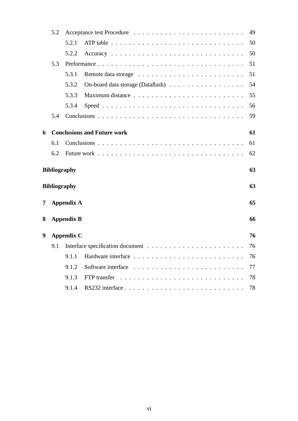|   | 5.2                 |                   |                                    |    |
|---|---------------------|-------------------|------------------------------------|----|
|   |                     | 5.2.1             |                                    | 50 |
|   |                     | 5.2.2             |                                    | 50 |
|   | 5.3                 |                   |                                    | 51 |
|   |                     | 5.3.1             |                                    | 51 |
|   |                     | 5.3.2             |                                    | 54 |
|   |                     | 5.3.3             |                                    | 55 |
|   |                     | 5.3.4             |                                    | 56 |
|   | 5.4                 |                   |                                    | 59 |
| 6 |                     |                   | <b>Conclusions and Future work</b> | 61 |
|   |                     |                   |                                    |    |
|   | 6.1                 |                   |                                    | 61 |
|   | 6.2                 |                   |                                    | 62 |
|   |                     |                   |                                    |    |
|   | <b>Bibliography</b> |                   |                                    | 63 |
|   | <b>Bibliography</b> |                   |                                    | 63 |
| 7 |                     | <b>Appendix A</b> |                                    | 65 |
|   |                     |                   |                                    |    |
| 8 |                     | <b>Appendix B</b> |                                    | 66 |
| 9 |                     | <b>Appendix C</b> |                                    | 76 |
|   | 9.1                 |                   |                                    | 76 |
|   |                     | 9.1.1             |                                    | 76 |
|   |                     | 9.1.2             |                                    | 77 |
|   |                     | 9.1.3             |                                    | 78 |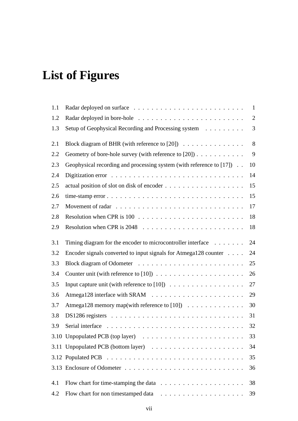# **List of Figures**

| 1.1 |                                                                                          | $\mathbf{1}$ |
|-----|------------------------------------------------------------------------------------------|--------------|
| 1.2 |                                                                                          | $\mathbf{2}$ |
| 1.3 | Setup of Geophysical Recording and Processing system                                     | 3            |
| 2.1 |                                                                                          | 8            |
| 2.2 | Geometry of bore-hole survey (with reference to [20])                                    | 9            |
| 2.3 | Geophysical recording and processing system (with reference to [17])                     | 10           |
| 2.4 |                                                                                          | 14           |
| 2.5 |                                                                                          | 15           |
| 2.6 |                                                                                          | 15           |
| 2.7 |                                                                                          | 17           |
| 2.8 |                                                                                          | 18           |
| 2.9 |                                                                                          | 18           |
| 3.1 | Timing diagram for the encoder to microcontroller interface                              | 24           |
| 3.2 | Encoder signals converted to input signals for Atmega128 counter                         | 24           |
| 3.3 |                                                                                          | 25           |
| 3.4 |                                                                                          | 26           |
| 3.5 | Input capture unit (with reference to $[10]$ )                                           | 27           |
| 3.6 |                                                                                          | 29           |
| 3.7 | Atmega128 memory map(with reference to [10]) $\dots \dots \dots \dots$                   | 30           |
| 3.8 |                                                                                          | 31           |
| 3.9 | Serial interface $\ldots \ldots \ldots \ldots \ldots \ldots \ldots \ldots \ldots \ldots$ | 32           |
|     |                                                                                          | 33           |
|     |                                                                                          | 34           |
|     |                                                                                          | 35           |
|     |                                                                                          | 36           |
| 4.1 | Flow chart for time-stamping the data $\ldots \ldots \ldots \ldots \ldots \ldots$        | 38           |
| 4.2 |                                                                                          | 39           |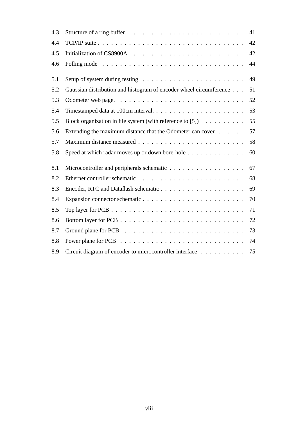| 4.3 |                                                                         | 41 |
|-----|-------------------------------------------------------------------------|----|
| 4.4 |                                                                         | 42 |
| 4.5 |                                                                         | 42 |
| 4.6 |                                                                         | 44 |
| 5.1 |                                                                         | 49 |
| 5.2 | Gaussian distribution and histogram of encoder wheel circumference      | 51 |
| 5.3 |                                                                         | 52 |
| 5.4 | Timestamped data at 100cm interval                                      | 53 |
| 5.5 | Block organization in file system (with reference to [5]) $\dots \dots$ | 55 |
| 5.6 | Extending the maximum distance that the Odometer can cover              | 57 |
| 5.7 |                                                                         | 58 |
| 5.8 | Speed at which radar moves up or down bore-hole                         | 60 |
| 8.1 |                                                                         | 67 |
| 8.2 |                                                                         | 68 |
| 8.3 |                                                                         | 69 |
| 8.4 |                                                                         | 70 |
| 8.5 |                                                                         | 71 |
| 8.6 |                                                                         | 72 |
| 8.7 |                                                                         | 73 |
| 8.8 |                                                                         | 74 |
| 8.9 | Circuit diagram of encoder to microcontroller interface                 | 75 |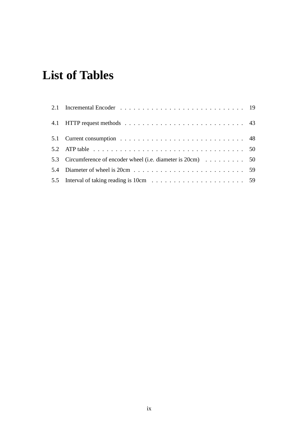# **List of Tables**

| 5.2 ATP table $\ldots \ldots \ldots \ldots \ldots \ldots \ldots \ldots \ldots \ldots \ldots \ldots \ldots 50$ |  |
|---------------------------------------------------------------------------------------------------------------|--|
| 5.3 Circumference of encoder wheel (i.e. diameter is 20cm) 50                                                 |  |
|                                                                                                               |  |
|                                                                                                               |  |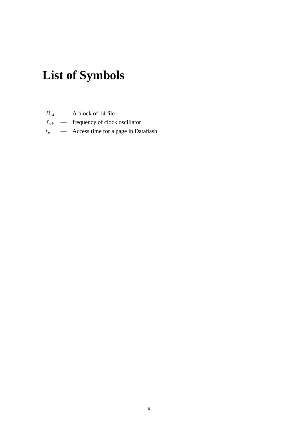# **List of Symbols**

- $B_{14}$  A block of 14 file
- $f_{clk}$  frequency of clock oscillator
- $t_p$  Access time for a page in Dataflash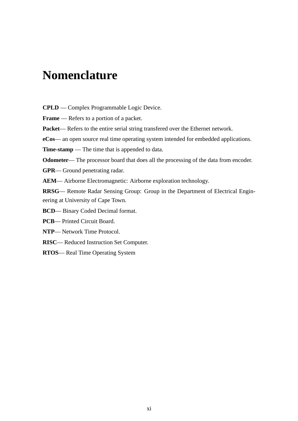# **Nomenclature**

**CPLD** — Complex Programmable Logic Device.

**Frame** — Refers to a portion of a packet.

**Packet**— Refers to the entire serial string transfered over the Ethernet network.

**eCos**— an open source real time operating system intended for embedded applications.

**Time-stamp** — The time that is appended to data.

**Odometer—** The processor board that does all the processing of the data from encoder.

**GPR**— Ground penetrating radar.

**AEM**— Airborne Electromagnetic: Airborne exploration technology.

**RRSG**— Remote Radar Sensing Group: Group in the Department of Electrical Engineering at University of Cape Town.

**BCD**— Binary Coded Decimal format.

**PCB**— Printed Circuit Board.

**NTP**— Network Time Protocol.

**RISC**— Reduced Instruction Set Computer.

**RTOS**— Real Time Operating System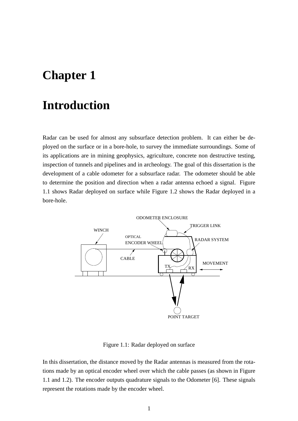# **Chapter 1**

# **Introduction**

Radar can be used for almost any subsurface detection problem. It can either be deployed on the surface or in a bore-hole, to survey the immediate surroundings. Some of its applications are in mining geophysics, agriculture, concrete non destructive testing, inspection of tunnels and pipelines and in archeology. The goal of this dissertation is the development of a cable odometer for a subsurface radar. The odometer should be able to determine the position and direction when a radar antenna echoed a signal. Figure 1.1 shows Radar deployed on surface while Figure 1.2 shows the Radar deployed in a bore-hole.



Figure 1.1: Radar deployed on surface

In this dissertation, the distance moved by the Radar antennas is measured from the rotations made by an optical encoder wheel over which the cable passes (as shown in Figure 1.1 and 1.2). The encoder outputs quadrature signals to the Odometer [6]. These signals represent the rotations made by the encoder wheel.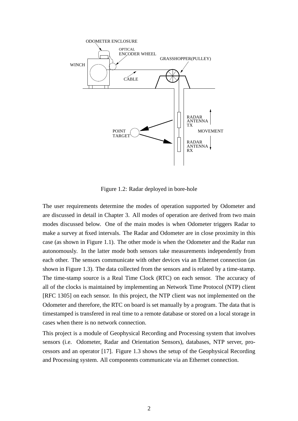

Figure 1.2: Radar deployed in bore-hole

The user requirements determine the modes of operation supported by Odometer and are discussed in detail in Chapter 3. All modes of operation are derived from two main modes discussed below. One of the main modes is when Odometer triggers Radar to make a survey at fixed intervals. The Radar and Odometer are in close proximity in this case (as shown in Figure 1.1). The other mode is when the Odometer and the Radar run autonomously. In the latter mode both sensors take measurements independently from each other. The sensors communicate with other devices via an Ethernet connection (as shown in Figure 1.3). The data collected from the sensors and is related by a time-stamp. The time-stamp source is a Real Time Clock (RTC) on each sensor. The accuracy of all of the clocks is maintained by implementing an Network Time Protocol (NTP) client [RFC 1305] on each sensor. In this project, the NTP client was not implemented on the Odometer and therefore, the RTC on board is set manually by a program. The data that is timestamped is transfered in real time to a remote database or stored on a local storage in cases when there is no network connection.

This project is a module of Geophysical Recording and Processing system that involves sensors (i.e. Odometer, Radar and Orientation Sensors), databases, NTP server, processors and an operator [17]. Figure 1.3 shows the setup of the Geophysical Recording and Processing system. All components communicate via an Ethernet connection.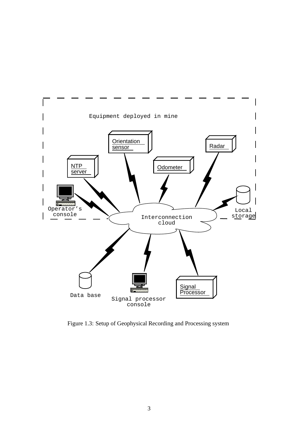

Figure 1.3: Setup of Geophysical Recording and Processing system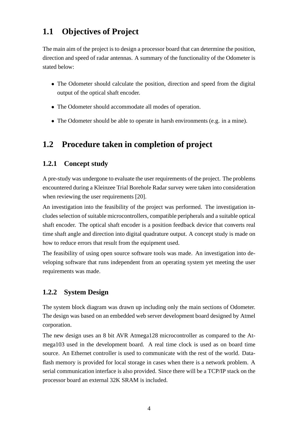## **1.1 Objectives of Project**

The main aim of the project is to design a processor board that can determine the position, direction and speed of radar antennas. A summary of the functionality of the Odometer is stated below:

- The Odometer should calculate the position, direction and speed from the digital output of the optical shaft encoder.
- The Odometer should accommodate all modes of operation.
- The Odometer should be able to operate in harsh environments (e.g. in a mine).

## **1.2 Procedure taken in completion of project**

### **1.2.1 Concept study**

A pre-study was undergone to evaluate the user requirements of the project. The problems encountered during a Kleinzee Trial Borehole Radar survey were taken into consideration when reviewing the user requirements [20].

An investigation into the feasibility of the project was performed. The investigation includesselection of suitable microcontrollers, compatible peripherals and a suitable optical shaft encoder. The optical shaft encoder is a position feedback device that converts real time shaft angle and direction into digital quadrature output. A concept study is made on how to reduce errors that result from the equipment used.

The feasibility of using open source software tools was made. An investigation into developing software that runs independent from an operating system yet meeting the user requirements was made.

### **1.2.2 System Design**

The system block diagram was drawn up including only the main sections of Odometer. The design was based on an embedded web server development board designed by Atmel corporation.

The new design uses an 8 bit AVR Atmega128 microcontroller as compared to the Atmega103 used in the development board. A real time clock is used as on board time source. An Ethernet controller is used to communicate with the rest of the world. Dataflash memory is provided for local storage in cases when there is a network problem. A serial communication interface is also provided. Since there will be a TCP/IP stack on the processor board an external 32K SRAM is included.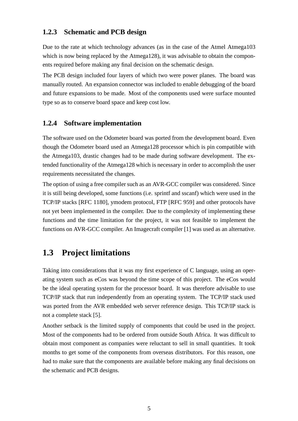### **1.2.3 Schematic and PCB design**

Due to the rate at which technology advances (as in the case of the Atmel Atmega103 which is now being replaced by the Atmega128), it was advisable to obtain the components required before making any final decision on the schematic design.

The PCB design included four layers of which two were power planes. The board was manually routed. An expansion connector was included to enable debugging of the board and future expansions to be made. Most of the components used were surface mounted type so as to conserve board space and keep cost low.

### **1.2.4 Software implementation**

The software used on the Odometer board was ported from the development board. Even though the Odometer board used an Atmega128 processor which is pin compatible with the Atmega103, drastic changes had to be made during software development. The extended functionality of the Atmega128 which is necessary in order to accomplish the user requirements necessitated the changes.

The option of using a free compiler such as an AVR-GCC compiler was considered. Since it is still being developed, some functions (i.e. sprintf and sscanf) which were used in the TCP/IP stacks [RFC 1180], ymodem protocol, FTP [RFC 959] and other protocols have not yet been implemented in the compiler. Due to the complexity of implementing these functions and the time limitation for the project, it was not feasible to implement the functions on AVR-GCC compiler. An Imagecraft compiler [1] was used as an alternative.

## **1.3 Project limitations**

Taking into considerations that it was my first experience of C language, using an operating system such as eCos was beyond the time scope of this project. The eCos would be the ideal operating system for the processor board. It was therefore advisable to use TCP/IP stack that run independently from an operating system. The TCP/IP stack used was ported from the AVR embedded web server reference design. This TCP/IP stack is not a complete stack [5].

Another setback is the limited supply of components that could be used in the project. Most of the components had to be ordered from outside South Africa. It was difficult to obtain most component as companies were reluctant to sell in small quantities. It took months to get some of the components from overseas distributors. For this reason, one had to make sure that the components are available before making any final decisions on the schematic and PCB designs.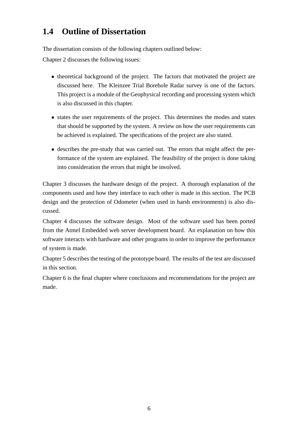## **1.4 Outline of Dissertation**

The dissertation consists of the following chapters outlined below:

Chapter 2 discusses the following issues:

- theoretical background of the project. The factors that motivated the project are discussed here. The Kleinzee Trial Borehole Radar survey is one of the factors. This project is a module of the Geophysical recording and processing system which is also discussed in this chapter.
- states the user requirements of the project. This determines the modes and states that should be supported by the system. A review on how the user requirements can be achieved is explained. The specifications of the project are also stated.
- describes the pre-study that was carried out. The errors that might affect the performance of the system are explained. The feasibility of the project is done taking into consideration the errors that might be involved.

Chapter 3 discusses the hardware design of the project. A thorough explanation of the components used and how they interface to each other is made in this section. The PCB design and the protection of Odometer (when used in harsh environments) is also discussed.

Chapter 4 discusses the software design. Most of the software used has been ported from the Atmel Embedded web server development board. An explanation on how this software interacts with hardware and other programs in order to improve the performance of system is made.

Chapter 5 describes the testing of the prototype board. The results of the test are discussed in this section.

Chapter 6 is the final chapter where conclusions and recommendations for the project are made.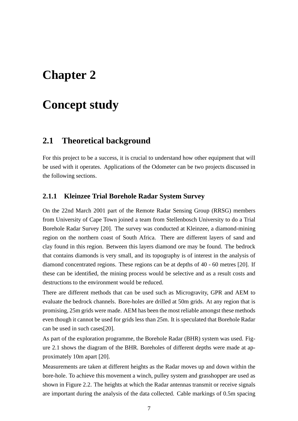# **Chapter 2**

# **Concept study**

## **2.1 Theoretical background**

For this project to be a success, it is crucial to understand how other equipment that will be used with it operates. Applications of the Odometer can be two projects discussed in the following sections.

### **2.1.1 Kleinzee Trial Borehole Radar System Survey**

On the 22nd March 2001 part of the Remote Radar Sensing Group (RRSG) members from University of Cape Town joined a team from Stellenbosch University to do a Trial Borehole Radar Survey [20]. The survey was conducted at Kleinzee, a diamond-mining region on the northern coast of South Africa. There are different layers of sand and clay found in this region. Between this layers diamond ore may be found. The bedrock that contains diamonds is very small, and its topography is of interest in the analysis of diamond concentrated regions. These regions can be at depths of 40 - 60 metres [20]. If these can be identified, the mining process would be selective and as a result costs and destructions to the environment would be reduced.

There are different methods that can be used such as Microgravity, GPR and AEM to evaluate the bedrock channels. Bore-holes are drilled at 50m grids. At any region that is promising, 25m grids were made. AEM has been the most reliable amongst these methods even though it cannot be used for grids less than 25m. It is speculated that Borehole Radar can be used in such cases[20].

As part of the exploration programme, the Borehole Radar (BHR) system was used. Figure 2.1 shows the diagram of the BHR. Boreholes of different depths were made at approximately 10m apart [20].

Measurements are taken at different heights as the Radar moves up and down within the bore-hole. To achieve this movement a winch, pulley system and grasshopper are used as shown in Figure 2.2. The heights at which the Radar antennas transmit or receive signals are important during the analysis of the data collected. Cable markings of 0.5m spacing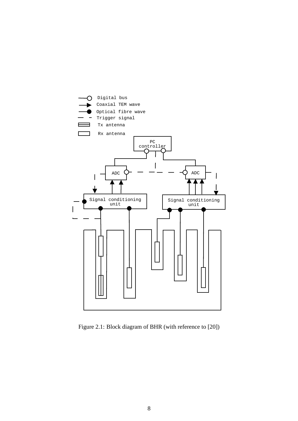

Figure 2.1: Block diagram of BHR (with reference to [20])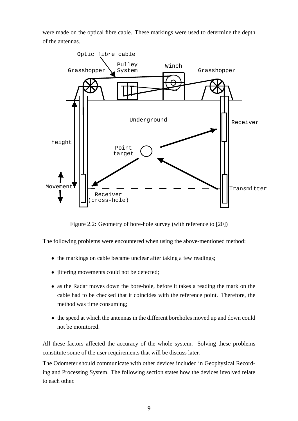were made on the optical fibre cable. These markings were used to determine the depth of the antennas.



Figure 2.2: Geometry of bore-hole survey (with reference to [20])

The following problems were encountered when using the above-mentioned method:

- the markings on cable became unclear after taking a few readings;
- jittering movements could not be detected;
- as the Radar moves down the bore-hole, before it takes a reading the mark on the cable had to be checked that it coincides with the reference point. Therefore, the method was time consuming;
- the speed at which the antennas in the different boreholes moved up and down could not be monitored.

All these factors affected the accuracy of the whole system. Solving these problems constitute some of the user requirements that will be discuss later.

The Odometer should communicate with other devices included in Geophysical Recording and Processing System. The following section states how the devices involved relate to each other.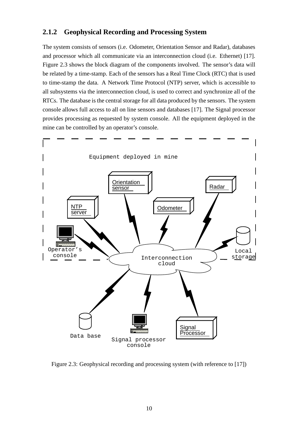### **2.1.2 Geophysical Recording and Processing System**

The system consists of sensors (i.e. Odometer, Orientation Sensor and Radar), databases and processor which all communicate via an interconnection cloud (i.e. Ethernet) [17]. Figure 2.3 shows the block diagram of the components involved. The sensor's data will be related by a time-stamp. Each of the sensors has a Real Time Clock (RTC) that is used to time-stamp the data. A Network Time Protocol (NTP) server, which is accessible to all subsystems via the interconnection cloud, is used to correct and synchronize all of the RTCs. The database is the central storage for all data produced by the sensors. The system console allows full access to all on line sensors and databases [17]. The Signal processor provides processing as requested by system console. All the equipment deployed in the mine can be controlled by an operator's console.



Figure 2.3: Geophysical recording and processing system (with reference to [17])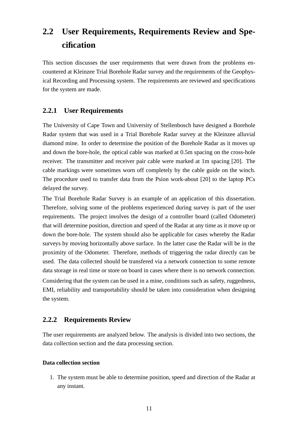## **2.2 User Requirements, Requirements Review and Specification**

This section discusses the user requirements that were drawn from the problems encountered at Kleinzee Trial Borehole Radar survey and the requirements of the Geophysical Recording and Processing system. The requirements are reviewed and specifications for the system are made.

### **2.2.1 User Requirements**

The University of Cape Town and University of Stellenbosch have designed a Borehole Radar system that was used in a Trial Borehole Radar survey at the Kleinzee alluvial diamond mine. In order to determine the position of the Borehole Radar as it moves up and down the bore-hole, the optical cable was marked at 0.5m spacing on the cross-hole receiver. The transmitter and receiver pair cable were marked at 1m spacing [20]. The cable markings were sometimes worn off completely by the cable guide on the winch. The procedure used to transfer data from the Psion work-about [20] to the laptop PCs delayed the survey.

The Trial Borehole Radar Survey is an example of an application of this dissertation. Therefore, solving some of the problems experienced during survey is part of the user requirements. The project involves the design of a controller board (called Odometer) that will determine position, direction and speed of the Radar at any time as it move up or down the bore-hole. The system should also be applicable for cases whereby the Radar surveys by moving horizontally above surface. In the latter case the Radar will be in the proximity of the Odometer. Therefore, methods of triggering the radar directly can be used. The data collected should be transfered via a network connection to some remote data storage in real time or store on board in cases where there is no network connection. Considering that the system can be used in a mine, conditions such as safety, ruggedness, EMI, reliability and transportability should be taken into consideration when designing the system.

### **2.2.2 Requirements Review**

The user requirements are analyzed below. The analysis is divided into two sections, the data collection section and the data processing section.

#### **Data collection section**

1. The system must be able to determine position, speed and direction of the Radar at any instant.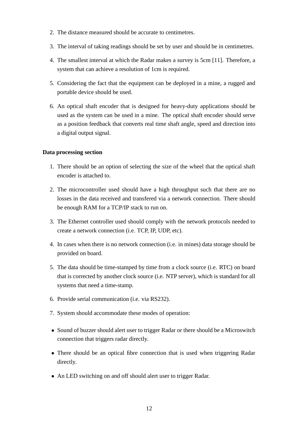- 2. The distance measured should be accurate to centimetres.
- 3. The interval of taking readings should be set by user and should be in centimetres.
- 4. The smallest interval at which the Radar makes a survey is 5cm [11]. Therefore, a system that can achieve a resolution of 1cm is required.
- 5. Considering the fact that the equipment can be deployed in a mine, a rugged and portable device should be used.
- 6. An optical shaft encoder that is designed for heavy-duty applications should be used as the system can be used in a mine. The optical shaft encoder should serve as a position feedback that converts real time shaft angle, speed and direction into a digital output signal.

#### **Data processing section**

- 1. There should be an option of selecting the size of the wheel that the optical shaft encoder is attached to.
- 2. The microcontroller used should have a high throughput such that there are no losses in the data received and transfered via a network connection. There should be enough RAM for a TCP/IP stack to run on.
- 3. The Ethernet controller used should comply with the network protocols needed to create a network connection (i.e. TCP, IP, UDP, etc).
- 4. In cases when there is no network connection (i.e. in mines) data storage should be provided on board.
- 5. The data should be time-stamped by time from a clock source (i.e. RTC) on board that is corrected by another clock source (i.e. NTP server), which is standard for all systems that need a time-stamp.
- 6. Provide serial communication (i.e. via RS232).
- 7. System should accommodate these modes of operation:
- Sound of buzzer should alert user to trigger Radar or there should be a Microswitch connection that triggers radar directly.
- There should be an optical fibre connection that is used when triggering Radar directly.
- An LED switching on and off should alert user to trigger Radar.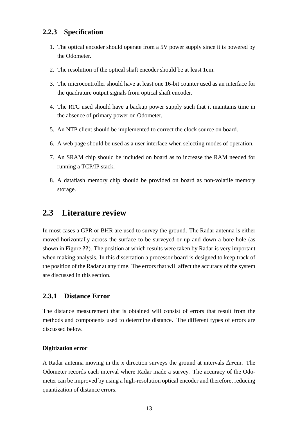### **2.2.3 Specification**

- 1. The optical encoder should operate from a 5V power supply since it is powered by the Odometer.
- 2. The resolution of the optical shaft encoder should be at least 1cm.
- 3. The microcontroller should have at least one 16-bit counter used as an interface for the quadrature output signals from optical shaft encoder.
- 4. The RTC used should have a backup power supply such that it maintains time in the absence of primary power on Odometer.
- 5. An NTP client should be implemented to correct the clock source on board.
- 6. A web page should be used as a user interface when selecting modes of operation.
- 7. An SRAM chip should be included on board as to increase the RAM needed for running a TCP/IP stack.
- 8. A dataflash memory chip should be provided on board as non-volatile memory storage.

## **2.3 Literature review**

In most cases a GPR or BHR are used to survey the ground. The Radar antenna is either moved horizontally across the surface to be surveyed or up and down a bore-hole (as shown in Figure **??**). The position at which results were taken by Radar is very important when making analysis. In this dissertation a processor board is designed to keep track of the position of the Radar at any time. The errors that will affect the accuracy of the system are discussed in this section.

### **2.3.1 Distance Error**

The distance measurement that is obtained will consist of errors that result from the methods and components used to determine distance. The different types of errors are discussed below.

#### **Digitization error**

A Radar antenna moving in the x direction surveys the ground at intervals  $\Delta x$ cm. The Odometer records each interval where Radar made a survey. The accuracy of the Odometer can be improved by using a high-resolution optical encoder and therefore, reducing quantization of distance errors.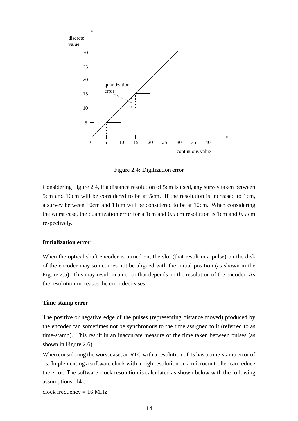

Figure 2.4: Digitization error

Considering Figure 2.4, if a distance resolution of 5cm is used, any survey taken between 5cm and 10cm will be considered to be at 5cm. If the resolution is increased to 1cm, a survey between 10cm and 11cm will be considered to be at 10cm. When considering the worst case, the quantization error for a 1cm and 0.5 cm resolution is 1cm and 0.5 cm respectively.

#### **Initialization error**

When the optical shaft encoder is turned on, the slot (that result in a pulse) on the disk of the encoder may sometimes not be aligned with the initial position (as shown in the Figure 2.5). This may result in an error that depends on the resolution of the encoder. As the resolution increases the error decreases.

#### **Time-stamp error**

The positive or negative edge of the pulses (representing distance moved) produced by the encoder can sometimes not be synchronous to the time assigned to it (referred to as time-stamp). This result in an inaccurate measure of the time taken between pulses (as shown in Figure 2.6).

When considering the worst case, an RTC with a resolution of 1s has a time-stamp error of 1s. Implementing a software clock with a high resolution on a microcontroller can reduce the error. The software clock resolution is calculated as shown below with the following assumptions [14]:

clock frequency  $= 16$  MHz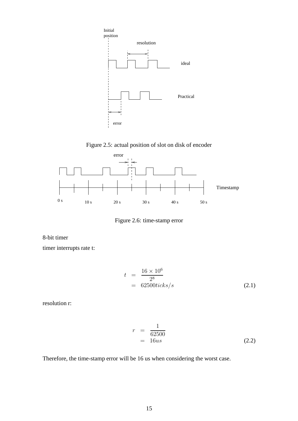





Figure 2.6: time-stamp error

8-bit timer

timer interrupts rate t:

$$
t = \frac{16 \times 10^6}{2^8} = 62500 \text{ticks/s}
$$
 (2.1)

resolution r:

$$
r = \frac{1}{62500} = 16us \tag{2.2}
$$

Therefore, the time-stamp error will be 16 us when considering the worst case.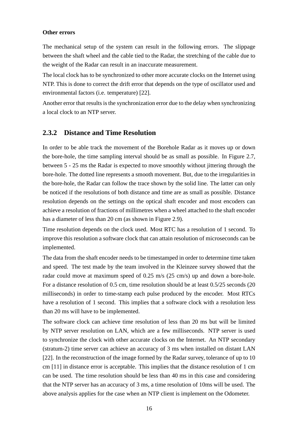#### **Other errors**

The mechanical setup of the system can result in the following errors. The slippage between the shaft wheel and the cable tied to the Radar, the stretching of the cable due to the weight of the Radar can result in an inaccurate measurement.

The local clock has to be synchronized to other more accurate clocks on the Internet using NTP. This is done to correct the drift error that depends on the type of oscillator used and environmental factors (i.e. temperature) [22].

Another error that results is the synchronization error due to the delay when synchronizing a local clock to an NTP server.

### **2.3.2 Distance and Time Resolution**

In order to be able track the movement of the Borehole Radar as it moves up or down the bore-hole, the time sampling interval should be as small as possible. In Figure 2.7, between 5 - 25 ms the Radar is expected to move smoothly without jittering through the bore-hole. The dotted line represents a smooth movement. But, due to the irregularities in the bore-hole, the Radar can follow the trace shown by the solid line. The latter can only be noticed if the resolutions of both distance and time are as small as possible. Distance resolution depends on the settings on the optical shaft encoder and most encoders can achieve a resolution of fractions of millimetres when a wheel attached to the shaft encoder has a diameter of less than 20 cm (as shown in Figure 2.9).

Time resolution depends on the clock used. Most RTC has a resolution of 1 second. To improve this resolution a software clock that can attain resolution of microseconds can be implemented.

The data from the shaft encoder needs to be timestamped in order to determine time taken and speed. The test made by the team involved in the Kleinzee survey showed that the radar could move at maximum speed of 0.25 m/s (25 cm/s) up and down a bore-hole. For a distance resolution of 0.5 cm, time resolution should be at least 0.5/25 seconds (20 milliseconds) in order to time-stamp each pulse produced by the encoder. Most RTCs have a resolution of 1 second. This implies that a software clock with a resolution less than 20 ms will have to be implemented.

The software clock can achieve time resolution of less than 20 ms but will be limited by NTP server resolution on LAN, which are a few milliseconds. NTP server is used to synchronize the clock with other accurate clocks on the Internet. An NTP secondary (stratum-2) time server can achieve an accuracy of 3 ms when installed on distant LAN [22]. In the reconstruction of the image formed by the Radar survey, tolerance of up to 10 cm [11] in distance error is acceptable. This implies that the distance resolution of 1 cm can be used. The time resolution should be less than 40 ms in this case and considering that the NTP server has an accuracy of 3 ms, a time resolution of 10ms will be used. The above analysis applies for the case when an NTP client is implement on the Odometer.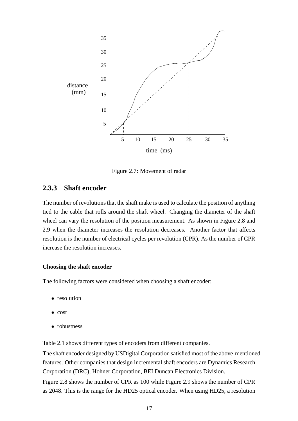

Figure 2.7: Movement of radar

### **2.3.3 Shaft encoder**

The number of revolutions that the shaft make is used to calculate the position of anything tied to the cable that rolls around the shaft wheel. Changing the diameter of the shaft wheel can vary the resolution of the position measurement. As shown in Figure 2.8 and 2.9 when the diameter increases the resolution decreases. Another factor that affects resolution is the number of electrical cycles per revolution (CPR). As the number of CPR increase the resolution increases.

#### **Choosing the shaft encoder**

The following factors were considered when choosing a shaft encoder:

- resolution
- cost
- robustness

Table 2.1 shows different types of encoders from different companies.

The shaft encoder designed by USDigital Corporation satisfied most of the above-mentioned features. Other companies that design incremental shaft encoders are Dynamics Research Corporation (DRC), Hohner Corporation, BEI Duncan Electronics Division.

Figure 2.8 shows the number of CPR as 100 while Figure 2.9 shows the number of CPR as 2048. This is the range for the HD25 optical encoder. When using HD25, a resolution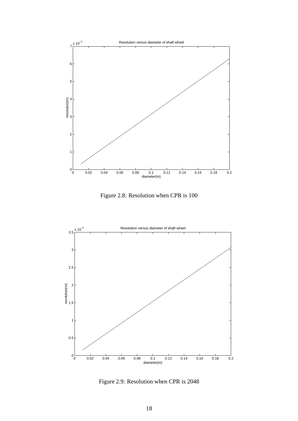

Figure 2.8: Resolution when CPR is 100



Figure 2.9: Resolution when CPR is 2048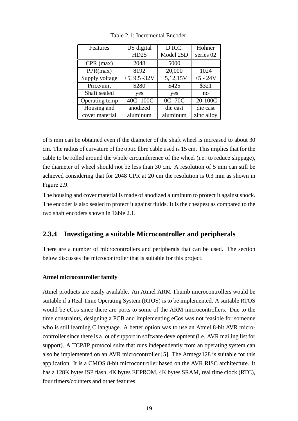| Features       | US digital      | D.R.C.      | Hohner     |
|----------------|-----------------|-------------|------------|
|                | HD25            | Model 25D   | series 02  |
| $CPR$ (max)    | 2048            | 5000        |            |
| PPR(max)       | 8192            | 20,000      | 1024       |
| Supply voltage | $+5, 9.5 - 32V$ | $+5,12,15V$ | $+5 - 24V$ |
| Price/unit     | \$280           | \$425       | \$321      |
| Shaft sealed   | yes             | yes         | no         |
| Operating temp | $-40C - 100C$   | 0C-70C      | $-20-100C$ |
| Housing and    | anodized        | die cast    | die cast   |
| cover material | aluminum        | aluminum    | zinc alloy |

Table 2.1: Incremental Encoder

of 5 mm can be obtained even if the diameter of the shaft wheel is increased to about 30 cm. The radius of curvature of the optic fibre cable used is 15 cm. This impliesthat for the cable to be rolled around the whole circumference of the wheel (i.e. to reduce slippage), the diameter of wheel should not be less than 30 cm. A resolution of 5 mm can still be achieved considering that for 2048 CPR at 20 cm the resolution is 0.3 mm as shown in Figure 2.9.

The housing and cover material is made of anodized aluminum to protect it against shock. The encoder is also sealed to protect it against fluids. It is the cheapest as compared to the two shaft encoders shown in Table 2.1.

### **2.3.4 Investigating a suitable Microcontroller and peripherals**

There are a number of microcontrollers and peripherals that can be used. The section below discusses the microcontroller that is suitable for this project.

#### **Atmel microcontroller family**

Atmel products are easily available. An Atmel ARM Thumb microcontrollers would be suitable if a Real Time Operating System (RTOS) is to be implemented. A suitable RTOS would be eCos since there are ports to some of the ARM microcontrollers. Due to the time constraints, designing a PCB and implementing eCos was not feasible for someone who is still learning C language. A better option was to use an Atmel 8-bit AVR microcontroller since there is a lot of support in software development (i.e. AVR mailing list for support). A TCP/IP protocol suite that runs independently from an operating system can also be implemented on an AVR microcontroller [5]. The Atmega128 is suitable for this application. It is a CMOS 8-bit microcontroller based on the AVR RISC architecture. It has a 128K bytes ISP flash, 4K bytes EEPROM, 4K bytes SRAM, real time clock (RTC), four timers/counters and other features.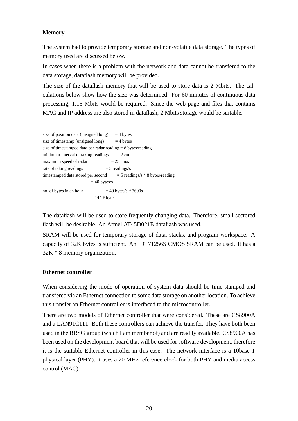#### **Memory**

The system had to provide temporary storage and non-volatile data storage. The types of memory used are discussed below.

In cases when there is a problem with the network and data cannot be transfered to the data storage, dataflash memory will be provided.

The size of the dataflash memory that will be used to store data is 2 Mbits. The calculations below show how the size was determined. For 60 minutes of continuous data processing, 1.15 Mbits would be required. Since the web page and files that contains MAC and IP address are also stored in dataflash, 2 Mbits storage would be suitable.

| size of position data (unsigned long) $=$ 4 bytes              |                                      |
|----------------------------------------------------------------|--------------------------------------|
| size of timestamp (unsigned long) $= 4$ bytes                  |                                      |
| size of timestamped data per radar reading $= 8$ bytes/reading |                                      |
| minimum interval of taking readings                            | $=$ 5cm                              |
| maximum speed of radar                                         | $= 25$ cm/s                          |
| rate of taking readings                                        | $=$ 5 readings/s                     |
| timestamped data stored per second                             | $=$ 5 readings/s $*$ 8 bytes/reading |
| $=$ 40 bytes/s                                                 |                                      |
| no. of bytes in an hour                                        | $=$ 40 bytes/s $*$ 3600s             |
| $= 144$ Kbytes                                                 |                                      |

The dataflash will be used to store frequently changing data. Therefore, small sectored flash will be desirable. An Atmel AT45D021B dataflash was used.

SRAM will be used for temporary storage of data, stacks, and program workspace. A capacity of 32K bytes is sufficient. An IDT71256S CMOS SRAM can be used. It has a 32K \* 8 memory organization.

#### **Ethernet controller**

When considering the mode of operation of system data should be time-stamped and transfered via an Ethernet connection to some data storage on another location. To achieve this transfer an Ethernet controller is interfaced to the microcontroller.

There are two models of Ethernet controller that were considered. These are CS8900A and a LAN91C111. Both these controllers can achieve the transfer. They have both been used in the RRSG group (which I am member of) and are readily available. CS8900A has been used on the development board that will be used for software development, therefore it is the suitable Ethernet controller in this case. The network interface is a 10base-T physical layer (PHY). It uses a 20 MHz reference clock for both PHY and media access control (MAC).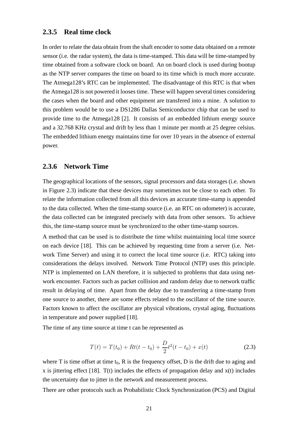### **2.3.5 Real time clock**

In order to relate the data obtain from the shaft encoder to some data obtained on a remote sensor (i.e. the radar system), the data is time-stamped. This data will be time-stamped by time obtained from a software clock on board. An on board clock is used during bootup as the NTP server compares the time on board to its time which is much more accurate. The Atmega128's RTC can be implemented. The disadvantage of this RTC is that when the Atmega128 is not powered it looses time. These will happen several times considering the cases when the board and other equipment are transfered into a mine. A solution to this problem would be to use a DS1286 Dallas Semiconductor chip that can be used to provide time to the Atmega128 [2]. It consists of an embedded lithium energy source and a 32.768 KHz crystal and drift by less than 1 minute per month at 25 degree celsius. The embedded lithium energy maintains time for over 10 years in the absence of external power.

#### **2.3.6 Network Time**

The geographical locations of the sensors, signal processors and data storages (i.e. shown in Figure 2.3) indicate that these devices may sometimes not be close to each other. To relate the information collected from all this devices an accurate time-stamp is appended to the data collected. When the time-stamp source (i.e. an RTC on odometer) is accurate, the data collected can be integrated precisely with data from other sensors. To achieve this, the time-stamp source must be synchronized to the other time-stamp sources.

A method that can be used is to distribute the time whilst maintaining local time source on each device [18]. This can be achieved by requesting time from a server (i.e. Network Time Server) and using it to correct the local time source (i.e. RTC) taking into considerations the delays involved. Network Time Protocol (NTP) uses this principle. NTP is implemented on LAN therefore, it is subjected to problems that data using network encounter. Factors such as packet collision and random delay due to network traffic result in delaying of time. Apart from the delay due to transferring a time-stamp from one source to another, there are some effects related to the oscillator of the time source. Factors known to affect the oscillator are physical vibrations, crystal aging, fluctuations in temperature and power supplied [18].

The time of any time source at time t can be represented as

$$
T(t) = T(t_0) + Rt(t - t_0) + \frac{D}{2}t^2(t - t_0) + x(t)
$$
\n(2.3)

where T is time offset at time  $t_0$ , R is the frequency offset, D is the drift due to aging and x is jittering effect [18]. T(t) includes the effects of propagation delay and  $x(t)$  includes the uncertainty due to jitter in the network and measurement process.

There are other protocols such as Probabilistic Clock Synchronization (PCS) and Digital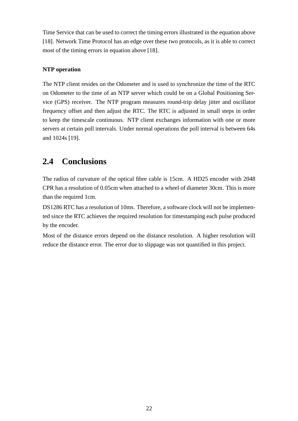Time Service that can be used to correct the timing errors illustrated in the equation above [18]. Network Time Protocol has an edge over these two protocols, as it is able to correct most of the timing errors in equation above [18].

### **NTP operation**

The NTP client resides on the Odometer and is used to synchronize the time of the RTC on Odometer to the time of an NTP server which could be on a Global Positioning Service (GPS) receiver. The NTP program measures round-trip delay jitter and oscillator frequency offset and then adjust the RTC. The RTC is adjusted in small steps in order to keep the timescale continuous. NTP client exchanges information with one or more servers at certain poll intervals. Under normal operations the poll interval is between 64s and 1024s [19].

## **2.4 Conclusions**

The radius of curvature of the optical fibre cable is 15cm. A HD25 encoder with 2048 CPR has a resolution of 0.05cm when attached to a wheel of diameter 30cm. This is more than the required 1cm.

DS1286 RTC has a resolution of 10ms. Therefore, a software clock will not be implemented since the RTC achieves the required resolution for timestamping each pulse produced by the encoder.

Most of the distance errors depend on the distance resolution. A higher resolution will reduce the distance error. The error due to slippage was not quantified in this project.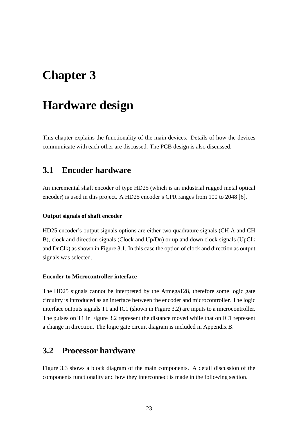# **Chapter 3**

# **Hardware design**

This chapter explains the functionality of the main devices. Details of how the devices communicate with each other are discussed. The PCB design is also discussed.

## **3.1 Encoder hardware**

An incremental shaft encoder of type HD25 (which is an industrial rugged metal optical encoder) is used in this project. A HD25 encoder's CPR ranges from 100 to 2048 [6].

#### **Output signals of shaft encoder**

HD25 encoder's output signals options are either two quadrature signals (CH A and CH B), clock and direction signals (Clock and Up/Dn) or up and down clock signals (UpClk and DnClk) as shown in Figure 3.1. In this case the option of clock and direction as output signals was selected.

#### **Encoder to Microcontroller interface**

The HD25 signals cannot be interpreted by the Atmega128, therefore some logic gate circuitry is introduced as an interface between the encoder and microcontroller. The logic interface outputs signals T1 and IC1 (shown in Figure 3.2) are inputs to a microcontroller. The pulses on T1 in Figure 3.2 represent the distance moved while that on IC1 represent a change in direction. The logic gate circuit diagram is included in Appendix B.

### **3.2 Processor hardware**

Figure 3.3 shows a block diagram of the main components. A detail discussion of the components functionality and how they interconnect is made in the following section.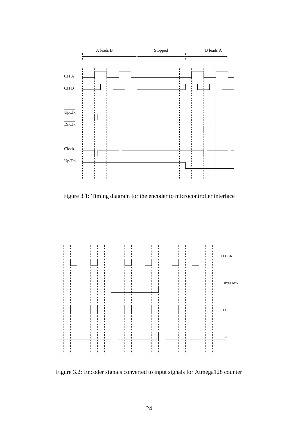

Figure 3.1: Timing diagram for the encoder to microcontroller interface



Figure 3.2: Encoder signals converted to input signals for Atmega128 counter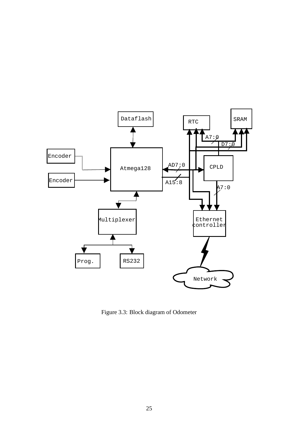

Figure 3.3: Block diagram of Odometer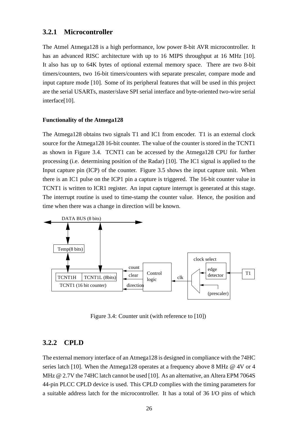#### **3.2.1 Microcontroller**

The Atmel Atmega128 is a high performance, low power 8-bit AVR microcontroller. It has an advanced RISC architecture with up to 16 MIPS throughput at 16 MHz [10]. It also has up to 64K bytes of optional external memory space. There are two 8-bit timers/counters, two 16-bit timers/counters with separate prescaler, compare mode and input capture mode [10]. Some of its peripheral features that will be used in this project are the serial USARTs, master/slave SPI serial interface and byte-oriented two-wire serial interface[10].

#### **Functionality of the Atmega128**

The Atmega128 obtains two signals T1 and IC1 from encoder. T1 is an external clock source for the Atmega128 16-bit counter. The value of the counter is stored in the TCNT1 as shown in Figure 3.4. TCNT1 can be accessed by the Atmega128 CPU for further processing (i.e. determining position of the Radar) [10]. The IC1 signal is applied to the Input capture pin (ICP) of the counter. Figure 3.5 shows the input capture unit. When there is an IC1 pulse on the ICP1 pin a capture is triggered. The 16-bit counter value in TCNT1 is written to ICR1 register. An input capture interrupt is generated at this stage. The interrupt routine is used to time-stamp the counter value. Hence, the position and time when there was a change in direction will be known.



Figure 3.4: Counter unit (with reference to [10])

#### **3.2.2 CPLD**

The external memory interface of an Atmega128 is designed in compliance with the 74HC series latch [10]. When the Atmega128 operates at a frequency above 8 MHz @ 4V or 4 MHz @ 2.7V the 74HC latch cannot be used [10]. As an alternative, an Altera EPM 7064S 44-pin PLCC CPLD device is used. This CPLD complies with the timing parameters for a suitable address latch for the microcontroller. It has a total of 36 I/O pins of which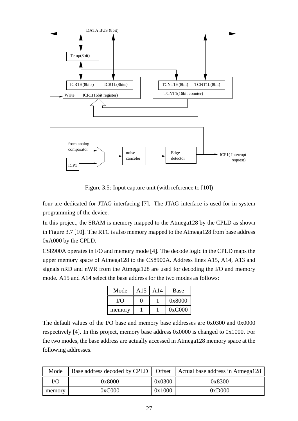

Figure 3.5: Input capture unit (with reference to [10])

four are dedicated for JTAG interfacing [7]. The JTAG interface is used for in-system programming of the device.

In this project, the SRAM is memory mapped to the Atmega128 by the CPLD as shown in Figure 3.7 [10]. The RTC is also memory mapped to the Atmega128 from base address 0xA000 by the CPLD.

CS8900A operates in I/O and memory mode [4]. The decode logic in the CPLD maps the upper memory space of Atmega128 to the CS8900A. Address lines A15, A14, A13 and signals nRD and nWR from the Atmega128 are used for decoding the I/O and memory mode. A15 and A14 select the base address for the two modes as follows:

| Mode   | A15 | A14 | Base   |
|--------|-----|-----|--------|
| T/O    |     |     | 0x8000 |
| memory |     |     | 0xC000 |

The default values of the I/O base and memory base addresses are 0x0300 and 0x0000 respectively [4]. In this project, memory base address 0x0000 is changed to 0x1000. For the two modes, the base address are actually accessed in Atmega128 memory space at the following addresses.

| Mode   |        |        | Base address decoded by CPLD   Offset   Actual base address in Atmega128 |
|--------|--------|--------|--------------------------------------------------------------------------|
| I/O    | 0x8000 | 0x0300 | 0x8300                                                                   |
| memory | 0xC000 | 0x1000 | 0xD000                                                                   |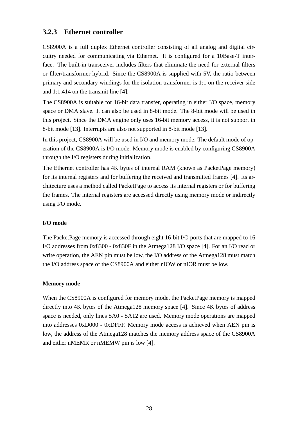#### **3.2.3 Ethernet controller**

CS8900A is a full duplex Ethernet controller consisting of all analog and digital circuitry needed for communicating via Ethernet. It is configured for a 10Base-T interface. The built-in transceiver includes filters that eliminate the need for external filters or filter/transformer hybrid. Since the CS8900A is supplied with 5V, the ratio between primary and secondary windings for the isolation transformer is 1:1 on the receiver side and 1:1.414 on the transmit line [4].

The CS8900A is suitable for 16-bit data transfer, operating in either I/O space, memory space or DMA slave. It can also be used in 8-bit mode. The 8-bit mode will be used in this project. Since the DMA engine only uses 16-bit memory access, it is not support in 8-bit mode [13]. Interrupts are also not supported in 8-bit mode [13].

In this project, CS8900A will be used in I/O and memory mode. The default mode of operation of the CS8900A is I/O mode. Memory mode is enabled by configuring CS8900A through the I/O registers during initialization.

The Ethernet controller has 4K bytes of internal RAM (known as PacketPage memory) for its internal registers and for buffering the received and transmitted frames [4]. Its architecture uses a method called PacketPage to access its internal registers or for buffering the frames. The internal registers are accessed directly using memory mode or indirectly using I/O mode.

#### **I/O mode**

The PacketPage memory is accessed through eight 16-bit I/O ports that are mapped to 16 I/O addresses from 0x8300 - 0x830F in the Atmega128 I/O space [4]. For an I/O read or write operation, the AEN pin must be low, the I/O address of the Atmega128 must match the I/O address space of the CS8900A and either nIOW or nIOR must be low.

#### **Memory mode**

When the CS8900A is configured for memory mode, the PacketPage memory is mapped directly into 4K bytes of the Atmega128 memory space [4]. Since 4K bytes of address space is needed, only lines SA0 - SA12 are used. Memory mode operations are mapped into addresses 0xD000 - 0xDFFF. Memory mode access is achieved when AEN pin is low, the address of the Atmega128 matches the memory address space of the CS8900A and either nMEMR or nMEMW pin is low [4].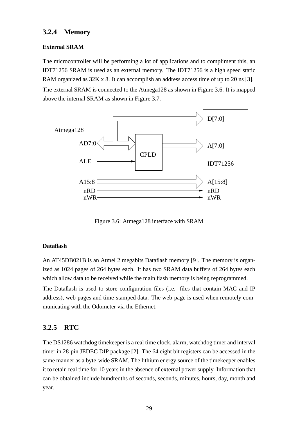### **3.2.4 Memory**

#### **External SRAM**

The microcontroller will be performing a lot of applications and to compliment this, an IDT71256 SRAM is used as an external memory. The IDT71256 is a high speed static RAM organized as  $32K \times 8$ . It can accomplish an address access time of up to 20 ns [3].

The external SRAM is connected to the Atmega128 as shown in Figure 3.6. It is mapped above the internal SRAM as shown in Figure 3.7.



Figure 3.6: Atmega128 interface with SRAM

#### **Dataflash**

An AT45DB021B is an Atmel 2 megabits Dataflash memory [9]. The memory is organized as 1024 pages of 264 bytes each. It has two SRAM data buffers of 264 bytes each which allow data to be received while the main flash memory is being reprogrammed. The Dataflash is used to store configuration files (i.e. files that contain MAC and IP address), web-pages and time-stamped data. The web-page is used when remotely communicating with the Odometer via the Ethernet.

## **3.2.5 RTC**

The DS1286 watchdog timekeeper is a real time clock, alarm, watchdog timer and interval timer in 28-pin JEDEC DIP package [2]. The 64 eight bit registers can be accessed in the same manner as a byte-wide SRAM. The lithium energy source of the timekeeper enables it to retain real time for 10 years in the absence of external power supply. Information that can be obtained include hundredths of seconds, seconds, minutes, hours, day, month and year.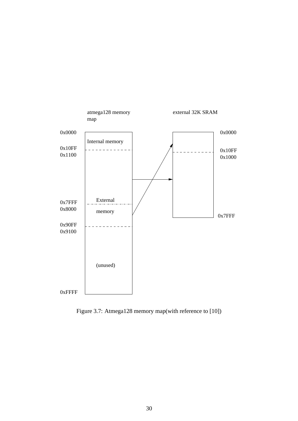

Figure 3.7: Atmega128 memory map(with reference to [10])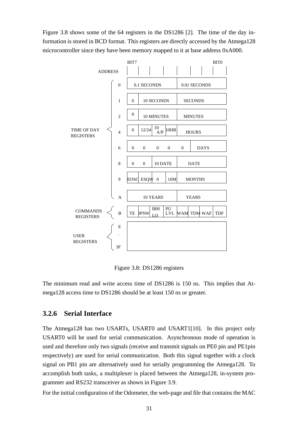Figure 3.8 shows some of the 64 registers in the DS1286 [2]. The time of the day information is stored in BCD format. This registers are directly accessed by the Atmega128 microcontroller since they have been memory mapped to it at base address 0xA000.



Figure 3.8: DS1286 registers

The minimum read and write access time of DS1286 is 150 ns. This implies that Atmega128 access time to DS1286 should be at least 150 ns or greater.

#### **3.2.6 Serial Interface**

The Atmega128 has two USARTs, USART0 and USART1[10]. In this project only USART0 will be used for serial communication. Asynchronous mode of operation is used and therefore only two signals (receive and transmit signals on PE0 pin and PE1pin respectively) are used for serial communication. Both this signal together with a clock signal on PB1 pin are alternatively used for serially programming the Atmega128. To accomplish both tasks, a multiplexer is placed between the Atmega128, in-system programmer and RS232 transceiver as shown in Figure 3.9.

For the initial configuration of the Odometer, the web-page and file that contains the MAC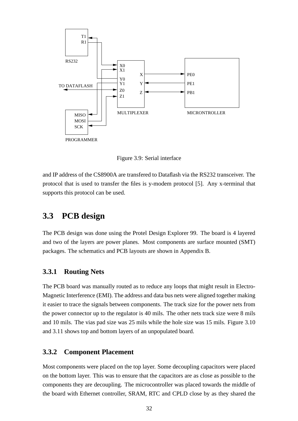

Figure 3.9: Serial interface

and IP address of the CS8900A are transfered to Dataflash via the RS232 transceiver. The protocol that is used to transfer the files is y-modem protocol [5]. Any x-terminal that supports this protocol can be used.

## **3.3 PCB design**

The PCB design was done using the Protel Design Explorer 99. The board is 4 layered and two of the layers are power planes. Most components are surface mounted (SMT) packages. The schematics and PCB layouts are shown in Appendix B.

#### **3.3.1 Routing Nets**

The PCB board was manually routed as to reduce any loops that might result in Electro-Magnetic Interference (EMI). The address and data bus nets were aligned together making it easier to trace the signals between components. The track size for the power nets from the power connector up to the regulator is 40 mils. The other nets track size were 8 mils and 10 mils. The vias pad size was 25 mils while the hole size was 15 mils. Figure 3.10 and 3.11 shows top and bottom layers of an unpopulated board.

#### **3.3.2 Component Placement**

Most components were placed on the top layer. Some decoupling capacitors were placed on the bottom layer. This was to ensure that the capacitors are as close as possible to the components they are decoupling. The microcontroller was placed towards the middle of the board with Ethernet controller, SRAM, RTC and CPLD close by as they shared the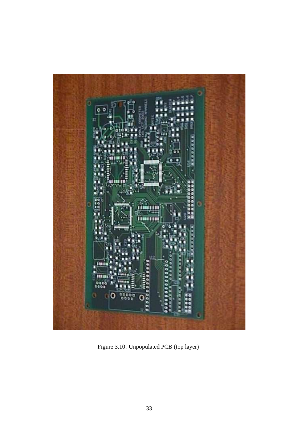

Figure 3.10: Unpopulated PCB (top layer)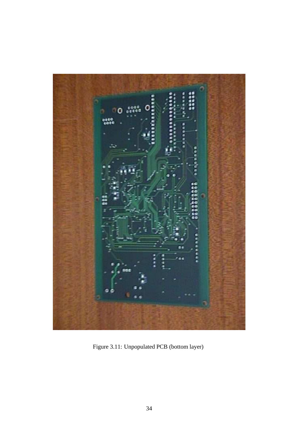

Figure 3.11: Unpopulated PCB (bottom layer)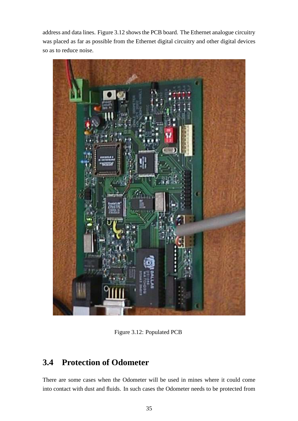address and data lines. Figure 3.12 showsthe PCB board. The Ethernet analogue circuitry was placed as far as possible from the Ethernet digital circuitry and other digital devices so as to reduce noise.



Figure 3.12: Populated PCB

## **3.4 Protection of Odometer**

There are some cases when the Odometer will be used in mines where it could come into contact with dust and fluids. In such cases the Odometer needs to be protected from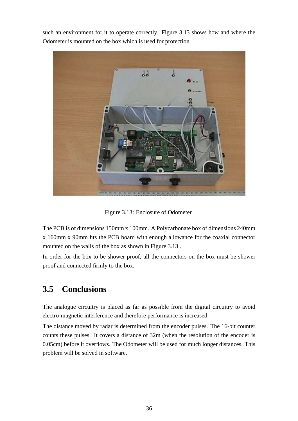such an environment for it to operate correctly. Figure 3.13 shows how and where the Odometer is mounted on the box which is used for protection.



Figure 3.13: Enclosure of Odometer

The PCB is of dimensions 150mm x 100mm. A Polycarbonate box of dimensions 240mm x 160mm x 90mm fits the PCB board with enough allowance for the coaxial connector mounted on the walls of the box as shown in Figure 3.13 .

In order for the box to be shower proof, all the connectors on the box must be shower proof and connected firmly to the box.

## **3.5 Conclusions**

The analogue circuitry is placed as far as possible from the digital circuitry to avoid electro-magnetic interference and therefore performance is increased.

The distance moved by radar is determined from the encoder pulses. The 16-bit counter counts these pulses. It covers a distance of 32m (when the resolution of the encoder is 0.05cm) before it overflows. The Odometer will be used for much longer distances. This problem will be solved in software.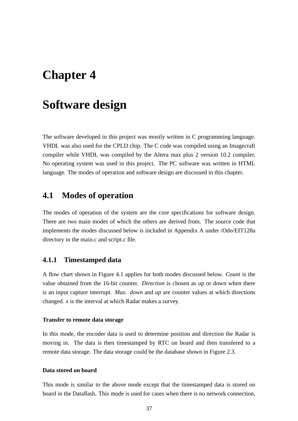# **Chapter 4**

# **Software design**

The software developed in this project was mostly written in C programming language. VHDL was also used for the CPLD chip. The C code was compiled using an Imagecraft compiler while VHDL was compiled by the Altera max plus 2 version 10.2 compiler. No operating system was used in this project. The PC software was written in HTML language. The modes of operation and software design are discussed in this chapter.

## **4.1 Modes of operation**

The modes of operation of the system are the core specifications for software design. There are two main modes of which the others are derived from. The source code that implements the modes discussed below is included in Appendix A under /Odo/EIT128a directory in the main.c and script.c file.

#### **4.1.1 Timestamped data**

A flow chart shown in Figure 4.1 applies for both modes discussed below. *Count* is the value obtained from the 16-bit counter. *Direction* is chosen as up or down when there is an input capture interrupt. *Max. down* and *up* are counter values at which directions changed. *x* is the interval at which Radar makes a survey.

#### **Transfer to remote data storage**

In this mode, the encoder data is used to determine position and direction the Radar is moving in. The data is then timestamped by RTC on board and then transfered to a remote data storage. The data storage could be the database shown in Figure 2.3.

#### **Data stored on board**

This mode is similar to the above mode except that the timestamped data is stored on board in the Dataflash. This mode is used for cases when there is no network connection.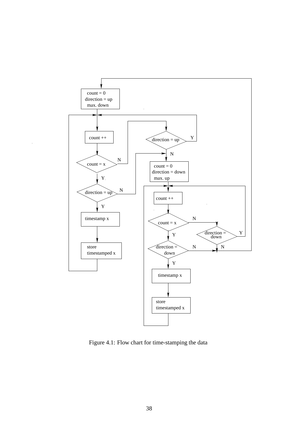

Figure 4.1: Flow chart for time-stamping the data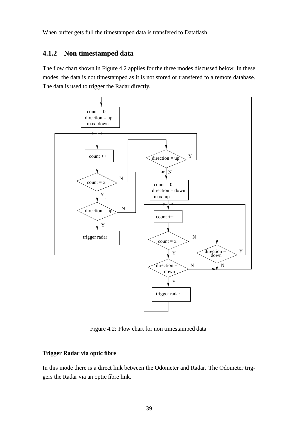When buffer gets full the timestamped data is transfered to Dataflash.

## **4.1.2 Non timestamped data**

The flow chart shown in Figure 4.2 applies for the three modes discussed below. In these modes, the data is not timestamped as it is not stored or transfered to a remote database. The data is used to trigger the Radar directly.



Figure 4.2: Flow chart for non timestamped data

#### **Trigger Radar via optic fibre**

In this mode there is a direct link between the Odometer and Radar. The Odometer triggers the Radar via an optic fibre link.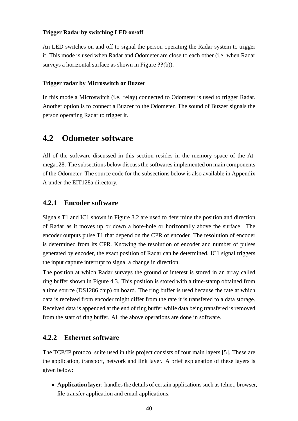#### **Trigger Radar by switching LED on/off**

An LED switches on and off to signal the person operating the Radar system to trigger it. This mode is used when Radar and Odometer are close to each other (i.e. when Radar surveys a horizontal surface as shown in Figure **??**(b)).

#### **Trigger radar by Microswitch or Buzzer**

In this mode a Microswitch (i.e. relay) connected to Odometer is used to trigger Radar. Another option is to connect a Buzzer to the Odometer. The sound of Buzzer signals the person operating Radar to trigger it.

## **4.2 Odometer software**

All of the software discussed in this section resides in the memory space of the Atmega128. The subsections below discuss the softwares implemented on main components of the Odometer. The source code for the subsections below is also available in Appendix A under the EIT128a directory.

#### **4.2.1 Encoder software**

Signals T1 and IC1 shown in Figure 3.2 are used to determine the position and direction of Radar as it moves up or down a bore-hole or horizontally above the surface. The encoder outputs pulse T1 that depend on the CPR of encoder. The resolution of encoder is determined from its CPR. Knowing the resolution of encoder and number of pulses generated by encoder, the exact position of Radar can be determined. IC1 signal triggers the input capture interrupt to signal a change in direction.

The position at which Radar surveys the ground of interest is stored in an array called ring buffer shown in Figure 4.3. This position is stored with a time-stamp obtained from a time source (DS1286 chip) on board. The ring buffer is used because the rate at which data is received from encoder might differ from the rate it is transfered to a data storage. Received data is appended at the end of ring buffer while data being transfered is removed from the start of ring buffer. All the above operations are done in software.

#### **4.2.2 Ethernet software**

The TCP/IP protocol suite used in this project consists of four main layers [5]. These are the application, transport, network and link layer. A brief explanation of these layers is given below:

• **Application layer**: handles the details of certain applications such as telnet, browser, file transfer application and email applications.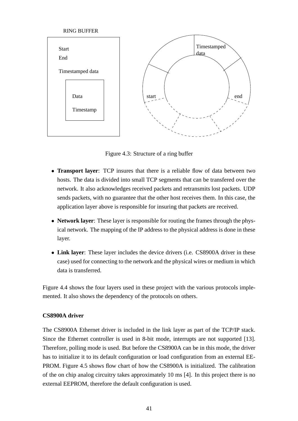

Figure 4.3: Structure of a ring buffer

- **Transport layer**: TCP insures that there is a reliable flow of data between two hosts. The data is divided into small TCP segments that can be transfered over the network. It also acknowledges received packets and retransmits lost packets. UDP sends packets, with no guarantee that the other host receives them. In this case, the application layer above is responsible for insuring that packets are received.
- **Network layer**: These layer is responsible for routing the frames through the physical network. The mapping of the IP address to the physical address is done in these layer.
- **Link layer**: These layer includes the device drivers (i.e. CS8900A driver in these case) used for connecting to the network and the physical wires or medium in which data is transferred.

Figure 4.4 shows the four layers used in these project with the various protocols implemented. It also shows the dependency of the protocols on others.

#### **CS8900A driver**

The CS8900A Ethernet driver is included in the link layer as part of the TCP/IP stack. Since the Ethernet controller is used in 8-bit mode, interrupts are not supported [13]. Therefore, polling mode is used. But before the CS8900A can be in this mode, the driver has to initialize it to its default configuration or load configuration from an external EE-PROM. Figure 4.5 shows flow chart of how the CS8900A is initialized. The calibration of the on chip analog circuitry takes approximately 10 ms [4]. In this project there is no external EEPROM, therefore the default configuration is used.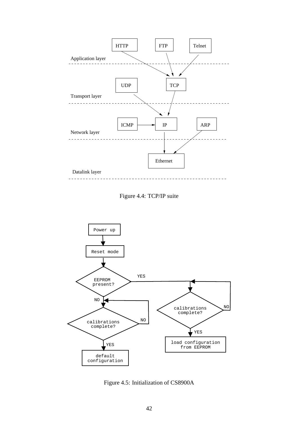





Figure 4.5: Initialization of CS8900A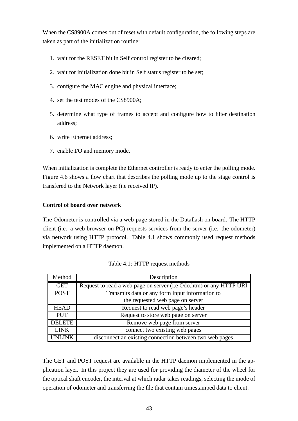When the CS8900A comes out of reset with default configuration, the following steps are taken as part of the initialization routine:

- 1. wait for the RESET bit in Self control register to be cleared;
- 2. wait for initialization done bit in Self status register to be set;
- 3. configure the MAC engine and physical interface;
- 4. set the test modes of the CS8900A;
- 5. determine what type of frames to accept and configure how to filter destination address;
- 6. write Ethernet address;
- 7. enable I/O and memory mode.

When initialization is complete the Ethernet controller is ready to enter the polling mode. Figure 4.6 shows a flow chart that describes the polling mode up to the stage control is transfered to the Network layer (i.e received IP).

#### **Control of board over network**

The Odometer is controlled via a web-page stored in the Dataflash on board. The HTTP client (i.e. a web browser on PC) requests services from the server (i.e. the odometer) via network using HTTP protocol. Table 4.1 shows commonly used request methods implemented on a HTTP daemon.

| Method        | Description                                                        |
|---------------|--------------------------------------------------------------------|
| <b>GET</b>    | Request to read a web page on server (i.e Odo.htm) or any HTTP URI |
| <b>POST</b>   | Transmits data or any form input information to                    |
|               | the requested web page on server                                   |
| <b>HEAD</b>   | Request to read web page's header                                  |
| <b>PUT</b>    | Request to store web page on server                                |
| <b>DELETE</b> | Remove web page from server                                        |
| <b>LINK</b>   | connect two existing web pages                                     |
| <b>UNLINK</b> | disconnect an existing connection between two web pages            |

Table 4.1: HTTP request methods

The GET and POST request are available in the HTTP daemon implemented in the application layer. In this project they are used for providing the diameter of the wheel for the optical shaft encoder, the interval at which radar takes readings, selecting the mode of operation of odometer and transferring the file that contain timestamped data to client.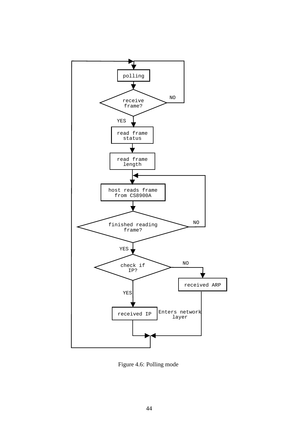

Figure 4.6: Polling mode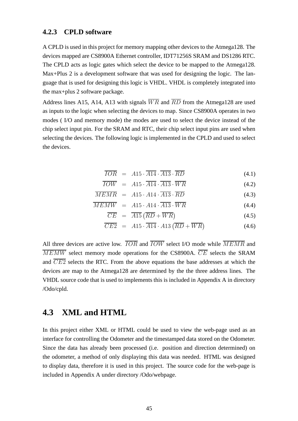#### **4.2.3 CPLD software**

A CPLD is used in this project for memory mapping other devices to the Atmega128. The devices mapped are CS8900A Ethernet controller, IDT71256S SRAM and DS1286 RTC. The CPLD acts as logic gates which select the device to be mapped to the Atmega128. Max+Plus 2 is a development software that was used for designing the logic. The language that is used for designing this logic is VHDL. VHDL is completely integrated into the max+plus 2 software package.

Address lines A15, A14, A13 with signals  $\overline{WR}$  and  $\overline{RD}$  from the Atmega128 are used as inputs to the logic when selecting the devices to map. Since CS8900A operates in two modes ( I/O and memory mode) the modes are used to select the device instead of the chip select input pin. For the SRAM and RTC, their chip select input pins are used when selecting the devices. The following logic is implemented in the CPLD and used to select the devices.

$$
\overline{IOR} = A15 \cdot \overline{A14} \cdot \overline{A13} \cdot \overline{RD} \tag{4.1}
$$

$$
\overline{IOW} = A15 \cdot \overline{A14} \cdot \overline{A13} \cdot \overline{WR} \tag{4.2}
$$

$$
\overline{MEMR} = A15 \cdot A14 \cdot \overline{A13} \cdot \overline{RD} \tag{4.3}
$$

$$
\overline{MEMW} = A15 \cdot A14 \cdot \overline{A13} \cdot \overline{WR} \tag{4.4}
$$

$$
\overline{CE} = \overline{A15} \left( \overline{RD} + \overline{WR} \right) \tag{4.5}
$$

$$
\overline{CE2} = A15 \cdot \overline{A14} \cdot A13 \left( \overline{RD} + \overline{WR} \right) \tag{4.6}
$$

All three devices are active low.  $\overline{IOR}$  and  $\overline{IOW}$  select I/O mode while  $\overline{MEMR}$  and  $\overline{MEMW}$  select memory mode operations for the CS8900A.  $\overline{CE}$  selects the SRAM and  $\overline{CE2}$  selects the RTC. From the above equations the base addresses at which the devices are map to the Atmega128 are determined by the the three address lines. The VHDL source code that is used to implements this is included in Appendix A in directory /Odo/cpld.

## **4.3 XML and HTML**

In this project either XML or HTML could be used to view the web-page used as an interface for controlling the Odometer and the timestamped data stored on the Odometer. Since the data has already been processed (i.e. position and direction determined) on the odometer, a method of only displaying this data was needed. HTML was designed to display data, therefore it is used in this project. The source code for the web-page is included in Appendix A under directory /Odo/webpage.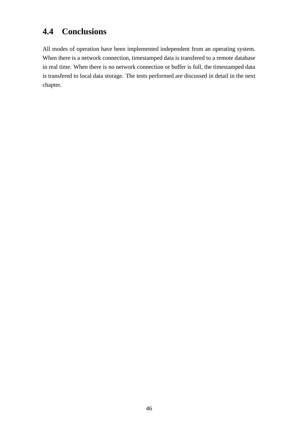## **4.4 Conclusions**

All modes of operation have been implemented independent from an operating system. When there is a network connection, timestamped data is transfered to a remote database in real time. When there is no network connection or buffer is full, the timestamped data is transfered to local data storage. The tests performed are discussed in detail in the next chapter.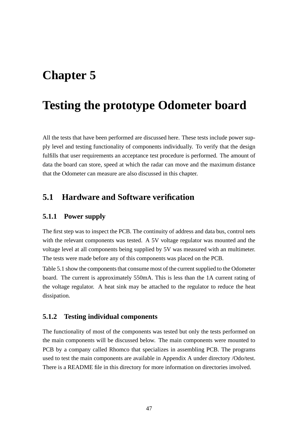# **Chapter 5**

# **Testing the prototype Odometer board**

All the tests that have been performed are discussed here. These tests include power supply level and testing functionality of components individually. To verify that the design fulfills that user requirements an acceptance test procedure is performed. The amount of data the board can store, speed at which the radar can move and the maximum distance that the Odometer can measure are also discussed in this chapter.

## **5.1 Hardware and Software verification**

#### **5.1.1 Power supply**

The first step was to inspect the PCB. The continuity of address and data bus, control nets with the relevant components was tested. A 5V voltage regulator was mounted and the voltage level at all components being supplied by 5V was measured with an multimeter. The tests were made before any of this components was placed on the PCB.

Table 5.1 show the components that consume most of the current supplied to the Odometer board. The current is approximately 550mA. This is less than the 1A current rating of the voltage regulator. A heat sink may be attached to the regulator to reduce the heat dissipation.

#### **5.1.2 Testing individual components**

The functionality of most of the components was tested but only the tests performed on the main components will be discussed below. The main components were mounted to PCB by a company called Rhomco that specializes in assembling PCB. The programs used to test the main components are available in Appendix A under directory /Odo/test. There is a README file in this directory for more information on directories involved.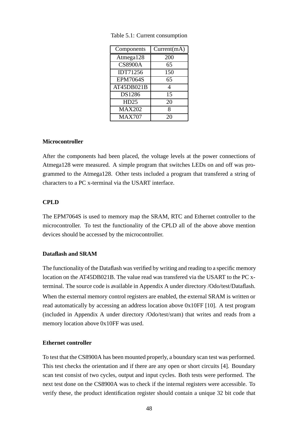| Components      | Current(mA) |
|-----------------|-------------|
| Atmega128       | 200         |
| <b>CS8900A</b>  | 65          |
| <b>IDT71256</b> | 150         |
| <b>EPM7064S</b> | 65          |
| AT45DB021B      | 4           |
| DS1286          | 15          |
| HD25            | 20          |
| <b>MAX202</b>   | 8           |
| <b>MAX707</b>   | 20          |

Table 5.1: Current consumption

#### **Microcontroller**

After the components had been placed, the voltage levels at the power connections of Atmega128 were measured. A simple program that switches LEDs on and off was programmed to the Atmega128. Other tests included a program that transfered a string of characters to a PC x-terminal via the USART interface.

#### **CPLD**

The EPM7064S is used to memory map the SRAM, RTC and Ethernet controller to the microcontroller. To test the functionality of the CPLD all of the above above mention devices should be accessed by the microcontroller.

#### **Dataflash and SRAM**

The functionality of the Dataflash was verified by writing and reading to a specific memory location on the AT45DB021B. The value read was transfered via the USART to the PC xterminal. The source code is available in Appendix A under directory /Odo/test/Dataflash. When the external memory control registers are enabled, the external SRAM is written or read automatically by accessing an address location above 0x10FF [10]. A test program (included in Appendix A under directory /Odo/test/sram) that writes and reads from a memory location above 0x10FF was used.

#### **Ethernet controller**

To test that the CS8900A has been mounted properly, a boundary scan test was performed. This test checks the orientation and if there are any open or short circuits [4]. Boundary scan test consist of two cycles, output and input cycles. Both tests were performed. The next test done on the CS8900A was to check if the internal registers were accessible. To verify these, the product identification register should contain a unique 32 bit code that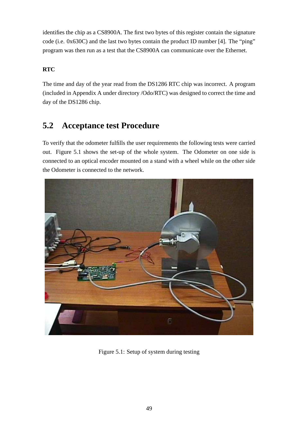identifies the chip as a CS8900A. The first two bytes of this register contain the signature code (i.e. 0x630C) and the last two bytes contain the product ID number [4]. The "ping" program was then run as a test that the CS8900A can communicate over the Ethernet.

### **RTC**

The time and day of the year read from the DS1286 RTC chip was incorrect. A program (included in Appendix A under directory /Odo/RTC) was designed to correct the time and day of the DS1286 chip.

## **5.2 Acceptance test Procedure**

To verify that the odometer fulfills the user requirements the following tests were carried out. Figure 5.1 shows the set-up of the whole system. The Odometer on one side is connected to an optical encoder mounted on a stand with a wheel while on the other side the Odometer is connected to the network.



Figure 5.1: Setup of system during testing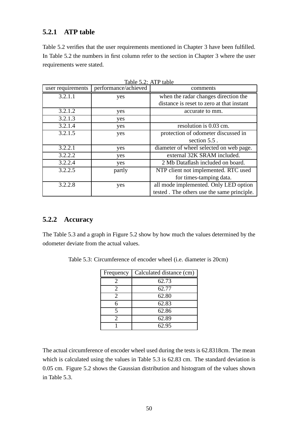### **5.2.1 ATP table**

Table 5.2 verifies that the user requirements mentioned in Chapter 3 have been fulfilled. In Table 5.2 the numbers in first column refer to the section in Chapter 3 where the user requirements were stated.

| user requirements | performance/achieved | comments                                   |
|-------------------|----------------------|--------------------------------------------|
| 3.2.1.1           | yes                  | when the radar changes direction the       |
|                   |                      | distance is reset to zero at that instant  |
| 3.2.1.2           | yes                  | accurate to mm.                            |
| 3.2.1.3           | yes                  |                                            |
| 3.2.1.4           | yes                  | resolution is 0.03 cm.                     |
| 3.2.1.5           | yes                  | protection of odometer discussed in        |
|                   |                      | section $5.5$ .                            |
| 3.2.2.1           | yes                  | diameter of wheel selected on web page.    |
| 3.2.2.2           | yes                  | external 32K SRAM included.                |
| 3.2.2.4           | yes                  | 2 Mb Dataflash included on board.          |
| 3.2.2.5           | partly               | NTP client not implemented. RTC used       |
|                   |                      | for times-tamping data.                    |
| 3.2.2.8           | yes                  | all mode implemented. Only LED option      |
|                   |                      | tested. The others use the same principle. |

Table 5.2: ATP table

## **5.2.2 Accuracy**

The Table 5.3 and a graph in Figure 5.2 show by how much the values determined by the odometer deviate from the actual values.

| Frequency | Calculated distance (cm) |
|-----------|--------------------------|
|           | 62.73                    |
| 2         | 62.77                    |
|           | 62.80                    |
|           | 62.83                    |
|           | 62.86                    |
|           | 62.89                    |
|           | 62.95                    |

Table 5.3: Circumference of encoder wheel (i.e. diameter is 20cm)

The actual circumference of encoder wheel used during the tests is 62.8318cm. The mean which is calculated using the values in Table 5.3 is 62.83 cm. The standard deviation is 0.05 cm. Figure 5.2 shows the Gaussian distribution and histogram of the values shown in Table 5.3.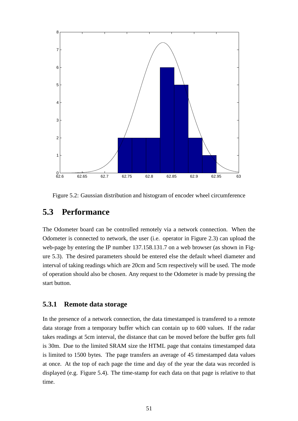

Figure 5.2: Gaussian distribution and histogram of encoder wheel circumference

## **5.3 Performance**

The Odometer board can be controlled remotely via a network connection. When the Odometer is connected to network, the user (i.e. operator in Figure 2.3) can upload the web-page by entering the IP number 137.158.131.7 on a web browser (as shown in Figure 5.3). The desired parameters should be entered else the default wheel diameter and interval of taking readings which are 20cm and 5cm respectively will be used. The mode of operation should also be chosen. Any request to the Odometer is made by pressing the start button.

#### **5.3.1 Remote data storage**

In the presence of a network connection, the data timestamped is transfered to a remote data storage from a temporary buffer which can contain up to 600 values. If the radar takes readings at 5cm interval, the distance that can be moved before the buffer gets full is 30m. Due to the limited SRAM size the HTML page that contains timestamped data is limited to 1500 bytes. The page transfers an average of 45 timestamped data values at once. At the top of each page the time and day of the year the data was recorded is displayed (e.g. Figure 5.4). The time-stamp for each data on that page is relative to that time.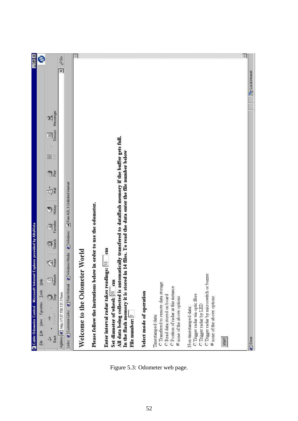| ○ Cable Odometer Control - Microsoft Internet Explorer provided by AltaVista                                                                                                                                                                                                                        | B X                                          |
|-----------------------------------------------------------------------------------------------------------------------------------------------------------------------------------------------------------------------------------------------------------------------------------------------------|----------------------------------------------|
| <b>Help</b><br>$\underline{\texttt{Tools}}$<br>Favorites<br>View<br>Ğ,<br>Eile                                                                                                                                                                                                                      | е                                            |
| Messenger<br>$\mathfrak{A}$<br>Discuss<br>$\sqrt{\text{min}}$<br>高<br>E<br>JĚ<br>ġł<br>History<br>Ð<br>Favorites<br>$\sqrt{\frac{1}{2}}$<br>Search<br>Ø<br>Home<br>对<br>Refesh<br>) Stop<br>Ø<br>Forward<br>¥<br>Back<br>J,                                                                         |                                              |
| Address $\boxed{\mathfrak{S}}$ http://137.158.131.7/form                                                                                                                                                                                                                                            | $\mathcal{C}$ Go<br>$\overline{\phantom{0}}$ |
| a Free AOL & Unlimited Internet<br><b>El Windows</b><br><sup>2</sup> Windows Media<br>@Free Hotmail<br>Links @ Customize Links                                                                                                                                                                      |                                              |
| Welcome to the Odometer World                                                                                                                                                                                                                                                                       | 31                                           |
| Please follow the instrutions below in order to use the odometer.                                                                                                                                                                                                                                   |                                              |
| All data being collected is automatically transfered to dataflash memory if the buffer gets full.<br>in 14 files. To read the data enter the file number below<br>$cm$<br>Enter interval radar takes readings:  10<br>In the flash memory it is stored<br>$\mathbf{m}$<br>Set diameter of wheel: 20 |                                              |
| File number:                                                                                                                                                                                                                                                                                        |                                              |
| Select mode of operation                                                                                                                                                                                                                                                                            |                                              |
| C Transfered to remote data storage<br>C Position of radar at this instance<br>C Read data stored on board<br>Timestamped data:                                                                                                                                                                     |                                              |
| C none of the above options                                                                                                                                                                                                                                                                         |                                              |
| C Trigger radar wa optic fibre<br>Non-timestamped data:                                                                                                                                                                                                                                             |                                              |
| C Trigger radar by microswitch or buzzer<br>@ none of the above options<br>C Trigger radar by LED                                                                                                                                                                                                   |                                              |
| start                                                                                                                                                                                                                                                                                               |                                              |
|                                                                                                                                                                                                                                                                                                     | $\overline{\mathbb{R}}$                      |
| 色 Done                                                                                                                                                                                                                                                                                              | <b>Local</b> intranet                        |

Figure 5.3: Odometer web page.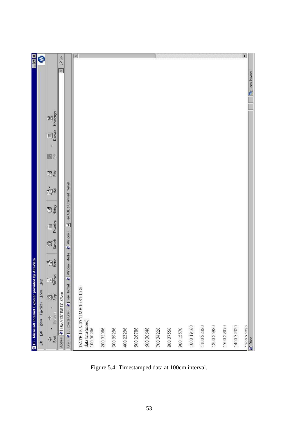| 强Hi - Microsoft Internet Explorer provided                                  | by AltaVista               |                   |                                                                                                                                                                                                                                                                                                                                                                  |              |                                 |            |        |                       |                 |                       | $  \frac{1}{2}$ $\times$ |
|-----------------------------------------------------------------------------|----------------------------|-------------------|------------------------------------------------------------------------------------------------------------------------------------------------------------------------------------------------------------------------------------------------------------------------------------------------------------------------------------------------------------------|--------------|---------------------------------|------------|--------|-----------------------|-----------------|-----------------------|--------------------------|
| Help<br>View Favorites Lools                                                |                            |                   |                                                                                                                                                                                                                                                                                                                                                                  |              |                                 |            |        |                       |                 |                       | Ø                        |
| Refesh<br>Oš<br>$\leftrightarrow$ $\Rightarrow$ $\rightarrow$ $\rightarrow$ | ⊲                          | Search<br>Ø       | Favorites<br>$\begin{picture}(20,20) \put(0,0){\line(1,0){10}} \put(15,0){\line(1,0){10}} \put(15,0){\line(1,0){10}} \put(15,0){\line(1,0){10}} \put(15,0){\line(1,0){10}} \put(15,0){\line(1,0){10}} \put(15,0){\line(1,0){10}} \put(15,0){\line(1,0){10}} \put(15,0){\line(1,0){10}} \put(15,0){\line(1,0){10}} \put(15,0){\line(1,0){10}} \put(15,0){\line(1$ | History<br>D | Ń                               | <b>D</b> Ě | 高<br>E | Discuss<br>$\sqrt{2}$ | Messenger<br>90 |                       |                          |
| Address <sup>2</sup> http://137.158.131.7/form                              |                            |                   |                                                                                                                                                                                                                                                                                                                                                                  |              |                                 |            |        |                       |                 | $\blacktriangleright$ | $\hat{\mathcal{C}}$ Go   |
| Links @ Customize Links @ Free Hotmail                                      | <sup>2</sup> Windows Media | <b>El Windows</b> |                                                                                                                                                                                                                                                                                                                                                                  |              | a Free ADL & Unlimited Internet |            |        |                       |                 |                       |                          |
| DATE:19-6-03 TDAE:10:31:10.80                                               |                            |                   |                                                                                                                                                                                                                                                                                                                                                                  |              |                                 |            |        |                       |                 |                       | $\blacksquare$           |
|                                                                             |                            |                   |                                                                                                                                                                                                                                                                                                                                                                  |              |                                 |            |        |                       |                 |                       |                          |
|                                                                             |                            |                   |                                                                                                                                                                                                                                                                                                                                                                  |              |                                 |            |        |                       |                 |                       |                          |
|                                                                             |                            |                   |                                                                                                                                                                                                                                                                                                                                                                  |              |                                 |            |        |                       |                 |                       |                          |
|                                                                             |                            |                   |                                                                                                                                                                                                                                                                                                                                                                  |              |                                 |            |        |                       |                 |                       |                          |
|                                                                             |                            |                   |                                                                                                                                                                                                                                                                                                                                                                  |              |                                 |            |        |                       |                 |                       |                          |
|                                                                             |                            |                   |                                                                                                                                                                                                                                                                                                                                                                  |              |                                 |            |        |                       |                 |                       |                          |
|                                                                             |                            |                   |                                                                                                                                                                                                                                                                                                                                                                  |              |                                 |            |        |                       |                 |                       |                          |
|                                                                             |                            |                   |                                                                                                                                                                                                                                                                                                                                                                  |              |                                 |            |        |                       |                 |                       |                          |
|                                                                             |                            |                   |                                                                                                                                                                                                                                                                                                                                                                  |              |                                 |            |        |                       |                 |                       |                          |
|                                                                             |                            |                   |                                                                                                                                                                                                                                                                                                                                                                  |              |                                 |            |        |                       |                 |                       |                          |
|                                                                             |                            |                   |                                                                                                                                                                                                                                                                                                                                                                  |              |                                 |            |        |                       |                 |                       |                          |
|                                                                             |                            |                   |                                                                                                                                                                                                                                                                                                                                                                  |              |                                 |            |        |                       |                 |                       |                          |
|                                                                             |                            |                   |                                                                                                                                                                                                                                                                                                                                                                  |              |                                 |            |        |                       |                 |                       |                          |
|                                                                             |                            |                   |                                                                                                                                                                                                                                                                                                                                                                  |              |                                 |            |        |                       |                 |                       | $\blacktriangleright$    |
|                                                                             |                            |                   |                                                                                                                                                                                                                                                                                                                                                                  |              |                                 |            |        |                       |                 | <b>Local</b> intranet |                          |

Figure 5.4: Timestamped data at 100cm interval.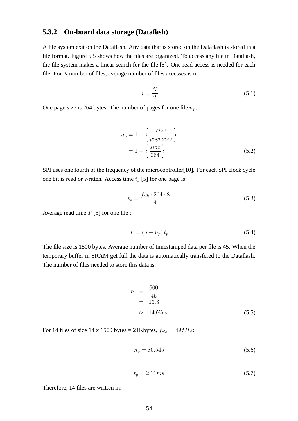#### **5.3.2 On-board data storage (Dataflash)**

A file system exit on the Dataflash. Any data that is stored on the Dataflash is stored in a file format. Figure 5.5 shows how the files are organized. To access any file in Dataflash, the file system makes a linear search for the file [5]. One read access is needed for each file. For N number of files, average number of files accesses is n:

$$
n = \frac{N}{2} \tag{5.1}
$$

One page size is 264 bytes. The number of pages for one file  $n_p$ :

$$
n_p = 1 + \left\{ \frac{size}{pagesize} \right\}
$$
  
= 1 + \left\{ \frac{size}{264} \right\} (5.2)

SPI uses one fourth of the frequency of the microcontroller[10]. For each SPI clock cycle one bit is read or written. Access time  $t_p$  [5] for one page is:

$$
t_p = \frac{f_{clk} \cdot 264 \cdot 8}{4} \tag{5.3}
$$

Average read time  $T$  [5] for one file :

$$
T = (n + n_p) t_p \tag{5.4}
$$

The file size is 1500 bytes. Average number of timestamped data per file is 45. When the temporary buffer in SRAM get full the data is automatically transfered to the Dataflash. The number of files needed to store this data is:

$$
n = \frac{600}{45}
$$
  
= 13.3  

$$
\approx 14 \text{ files}
$$
 (5.5)

For 14 files of size 14 x 1500 bytes = 21Kbytes,  $f_{clk} = 4MHz$ :

$$
n_p = 80.545\tag{5.6}
$$

$$
t_p = 2.11ms \tag{5.7}
$$

Therefore, 14 files are written in: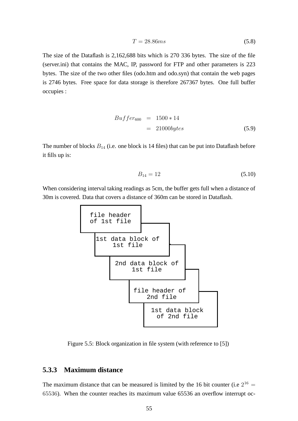$$
T = 28.86ms \tag{5.8}
$$

The size of the Dataflash is 2,162,688 bits which is 270 336 bytes. The size of the file (server.ini) that contains the MAC, IP, password for FTP and other parameters is 223 bytes. The size of the two other files (odo.htm and odo.syn) that contain the web pages is 2746 bytes. Free space for data storage is therefore 267367 bytes. One full buffer occupies :

$$
Buffer_{600} = 1500 * 14
$$
  
= 21000bytes (5.9)

The number of blocks  $B_{14}$  (i.e. one block is 14 files) that can be put into Dataflash before it fills up is:

$$
B_{14} = 12 \tag{5.10}
$$

When considering interval taking readings as 5cm, the buffer gets full when a distance of 30m is covered. Data that covers a distance of 360m can be stored in Dataflash.



Figure 5.5: Block organization in file system (with reference to [5])

#### **5.3.3 Maximum distance**

The maximum distance that can be measured is limited by the 16 bit counter (i.e  $2^{16}$  = 65536). When the counter reaches its maximum value 65536 an overflow interrupt oc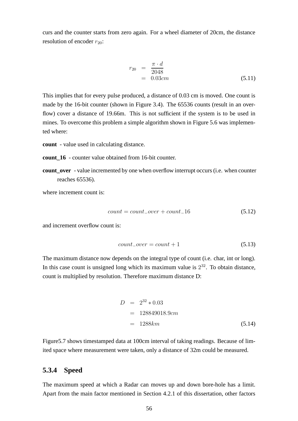curs and the counter starts from zero again. For a wheel diameter of 20cm, the distance resolution of encoder  $r_{20}$ :

$$
r_{20} = \frac{\pi \cdot d}{2048} = 0.03cm
$$
 (5.11)

This implies that for every pulse produced, a distance of 0.03 cm is moved. One count is made by the 16-bit counter (shown in Figure 3.4). The 65536 counts (result in an overflow) cover a distance of 19.66m. This is not sufficient if the system is to be used in mines. To overcome this problem a simple algorithm shown in Figure 5.6 was implemented where:

**count** - value used in calculating distance.

**count 16** - counter value obtained from 16-bit counter.

**count\_over** - value incremented by one when overflow interrupt occurs (i.e. when counter reaches 65536).

where increment count is:

$$
count = count\_over + count\_16 \tag{5.12}
$$

and increment overflow count is:

$$
count\_over = count + 1 \tag{5.13}
$$

The maximum distance now depends on the integral type of count (i.e. char, int or long). In this case count is unsigned long which its maximum value is  $2^{32}$ . To obtain distance, count is multiplied by resolution. Therefore maximum distance D:

$$
D = 2^{32} * 0.03
$$
  
= 128849018.9cm  
= 1288km (5.14)

Figure5.7 shows timestamped data at 100cm interval of taking readings. Because of limited space where measurement were taken, only a distance of 32m could be measured.

#### **5.3.4 Speed**

The maximum speed at which a Radar can moves up and down bore-hole has a limit. Apart from the main factor mentioned in Section 4.2.1 of this dissertation, other factors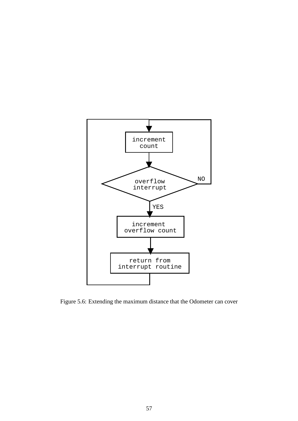

Figure 5.6: Extending the maximum distance that the Odometer can cover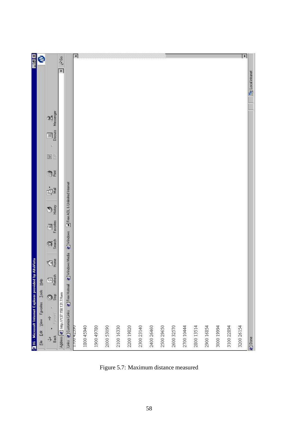| $\overline{AB}$                            | Ø                              |                                                                                                                                                                   |                                                |                                        | $\blacktriangleleft$     |            |            |            |            |            |            |            |            |            |            |            |            |            | $\blacktriangleright$ |                           |
|--------------------------------------------|--------------------------------|-------------------------------------------------------------------------------------------------------------------------------------------------------------------|------------------------------------------------|----------------------------------------|--------------------------|------------|------------|------------|------------|------------|------------|------------|------------|------------|------------|------------|------------|------------|-----------------------|---------------------------|
|                                            |                                |                                                                                                                                                                   | $\hat{\mathcal{C}}$ Go<br>$\blacksquare$       |                                        |                          |            |            |            |            |            |            |            |            |            |            |            |            |            |                       | <b>But</b> Local intranet |
|                                            |                                | Messenger<br>$\mathfrak{A}$                                                                                                                                       |                                                |                                        |                          |            |            |            |            |            |            |            |            |            |            |            |            |            |                       |                           |
|                                            |                                | Discuss<br>$\sqrt{m}$                                                                                                                                             |                                                |                                        |                          |            |            |            |            |            |            |            |            |            |            |            |            |            |                       |                           |
|                                            |                                | 高<br>E                                                                                                                                                            |                                                |                                        |                          |            |            |            |            |            |            |            |            |            |            |            |            |            |                       |                           |
|                                            |                                | <b>D</b>                                                                                                                                                          |                                                |                                        |                          |            |            |            |            |            |            |            |            |            |            |            |            |            |                       |                           |
|                                            |                                | Ń                                                                                                                                                                 |                                                | a Free AOL & Unlimited Internet        |                          |            |            |            |            |            |            |            |            |            |            |            |            |            |                       |                           |
|                                            |                                | History<br>Ð                                                                                                                                                      |                                                |                                        |                          |            |            |            |            |            |            |            |            |            |            |            |            |            |                       |                           |
|                                            |                                | Favorites<br>$\overline{\mathbb{R}}$                                                                                                                              |                                                | <b>El Windows</b>                      |                          |            |            |            |            |            |            |            |            |            |            |            |            |            |                       |                           |
|                                            |                                | Øģ                                                                                                                                                                |                                                |                                        |                          |            |            |            |            |            |            |            |            |            |            |            |            |            |                       |                           |
| by AltaVista                               |                                | ⊲                                                                                                                                                                 |                                                | <sup>2</sup> Windows Media             |                          |            |            |            |            |            |            |            |            |            |            |            |            |            |                       |                           |
|                                            |                                | $rac{f(x)}{R}$<br>Refresh                                                                                                                                         |                                                |                                        |                          |            |            |            |            |            |            |            |            |            |            |            |            |            |                       |                           |
|                                            |                                | Oš                                                                                                                                                                |                                                |                                        |                          |            |            |            |            |            |            |            |            |            |            |            |            |            |                       |                           |
|                                            | Edit View Favorites Lools Help | $\begin{array}{ccccc}\n\downarrow & & & \downarrow & & \downarrow \\ \downarrow & & & \downarrow & & \downarrow \\ \text{Back} & & \text{Formal} & & \end{array}$ | Address $\bigotimes$ http://137.158.131.7/form | Links @ Customize Links @ Free Hotmail |                          |            |            |            |            |            |            |            |            |            |            |            |            |            |                       |                           |
| 强Hi - Microsoft Internet Explorer provided | Eile                           |                                                                                                                                                                   |                                                |                                        | 1700 42590<br>1800 45940 | 1900 49780 | 2000 53090 | 2100 16330 | 2200 19820 | 2300 23140 | 2400 26460 | 2500 29650 | 2600 32570 | 2700 10444 | 2800 13514 | 2900 16854 | 3000 19994 | 3100 22894 | 3200 26154            | @ Done                    |

Figure 5.7: Maximum distance measured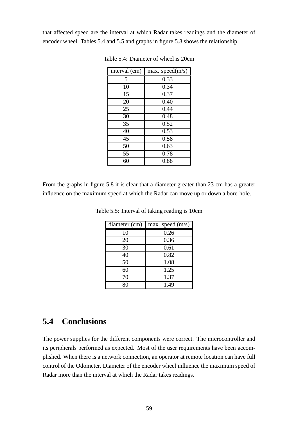that affected speed are the interval at which Radar takes readings and the diameter of encoder wheel. Tables 5.4 and 5.5 and graphs in figure 5.8 shows the relationship.

| interval (cm) | max. speed(m/s) |
|---------------|-----------------|
| 5             | 0.33            |
| 10            | 0.34            |
| 15            | 0.37            |
| 20            | 0.40            |
| 25            | 0.44            |
| 30            | 0.48            |
| 35            | 0.52            |
| 40            | 0.53            |
| 45            | 0.58            |
| 50            | 0.63            |
| 55            | 0.78            |
| 60            | 0.88            |

Table 5.4: Diameter of wheel is 20cm

From the graphs in figure 5.8 it is clear that a diameter greater than 23 cm has a greater influence on the maximum speed at which the Radar can move up or down a bore-hole.

| diameter (cm) | max. speed $(m/s)$ |
|---------------|--------------------|
| 10            | 0.26               |
| 20            | 0.36               |
| 30            | 0.61               |
| 40            | 0.82               |
| 50            | 1.08               |
| 60            | 1.25               |
| 70            | 1.37               |
| 8٢            | 1.49               |

Table 5.5: Interval of taking reading is 10cm

## **5.4 Conclusions**

The power supplies for the different components were correct. The microcontroller and its peripherals performed as expected. Most of the user requirements have been accomplished. When there is a network connection, an operator at remote location can have full control of the Odometer. Diameter of the encoder wheel influence the maximum speed of Radar more than the interval at which the Radar takes readings.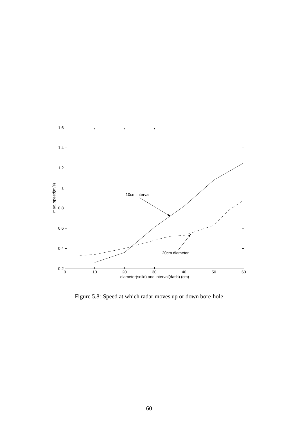

Figure 5.8: Speed at which radar moves up or down bore-hole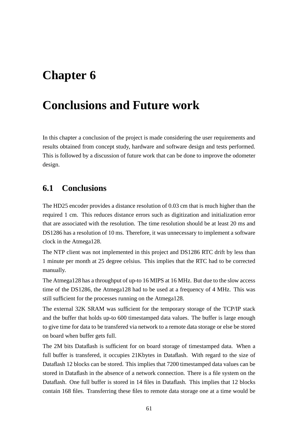# **Conclusions and Future work**

In this chapter a conclusion of the project is made considering the user requirements and results obtained from concept study, hardware and software design and tests performed. This is followed by a discussion of future work that can be done to improve the odometer design.

### **6.1 Conclusions**

The HD25 encoder provides a distance resolution of 0.03 cm that is much higher than the required 1 cm. This reduces distance errors such as digitization and initialization error that are associated with the resolution. The time resolution should be at least 20 ms and DS1286 has a resolution of 10 ms. Therefore, it was unnecessary to implement a software clock in the Atmega128.

The NTP client was not implemented in this project and DS1286 RTC drift by less than 1 minute per month at 25 degree celsius. This implies that the RTC had to be corrected manually.

The Atmega128 has a throughput of up-to 16 MIPS at 16 MHz. But due to the slow access time of the DS1286, the Atmega128 had to be used at a frequency of 4 MHz. This was still sufficient for the processes running on the Atmega128.

The external 32K SRAM was sufficient for the temporary storage of the TCP/IP stack and the buffer that holds up-to 600 timestamped data values. The buffer is large enough to give time for data to be transfered via network to a remote data storage or else be stored on board when buffer gets full.

The 2M bits Dataflash is sufficient for on board storage of timestamped data. When a full buffer is transfered, it occupies 21Kbytes in Dataflash. With regard to the size of Dataflash 12 blocks can be stored. This implies that 7200 timestamped data values can be stored in Dataflash in the absence of a network connection. There is a file system on the Dataflash. One full buffer is stored in 14 files in Dataflash. This implies that 12 blocks contain 168 files. Transferring these files to remote data storage one at a time would be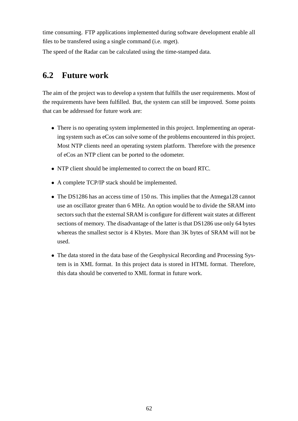time consuming. FTP applications implemented during software development enable all files to be transfered using a single command (i.e. mget).

The speed of the Radar can be calculated using the time-stamped data.

## **6.2 Future work**

The aim of the project was to develop a system that fulfills the user requirements. Most of the requirements have been fulfilled. But, the system can still be improved. Some points that can be addressed for future work are:

- There is no operating system implemented in this project. Implementing an operating system such as eCos can solve some of the problems encountered in this project. Most NTP clients need an operating system platform. Therefore with the presence of eCos an NTP client can be ported to the odometer.
- NTP client should be implemented to correct the on board RTC.
- A complete TCP/IP stack should be implemented.
- The DS1286 has an access time of 150 ns. This implies that the Atmega128 cannot use an oscillator greater than 6 MHz. An option would be to divide the SRAM into sectors such that the external SRAM is configure for different wait states at different sections of memory. The disadvantage of the latter is that DS1286 use only 64 bytes whereas the smallest sector is 4 Kbytes. More than 3K bytes of SRAM will not be used.
- The data stored in the data base of the Geophysical Recording and Processing System is in XML format. In this project data is stored in HTML format. Therefore, this data should be converted to XML format in future work.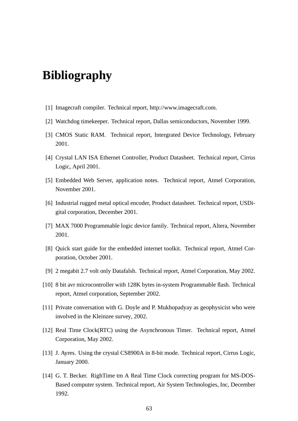## **Bibliography**

- [1] Imagecraft compiler. Technical report, http://www.imagecraft.com.
- [2] Watchdog timekeeper. Technical report, Dallas semiconductors, November 1999.
- [3] CMOS Static RAM. Technical report, Intergrated Device Technology, February 2001.
- [4] Crystal LAN ISA Ethernet Controller, Product Datasheet. Technical report, Cirrus Logic, April 2001.
- [5] Embedded Web Server, application notes. Technical report, Atmel Corporation, November 2001.
- [6] Industrial rugged metal optical encoder, Product datasheet. Technical report, USDigital corporation, December 2001.
- [7] MAX 7000 Programmable logic device family. Technical report, Altera, November 2001.
- [8] Quick start guide for the embedded internet toolkit. Technical report, Atmel Corporation, October 2001.
- [9] 2 megabit 2.7 volt only Datafalsh. Technical report, Atmel Corporation, May 2002.
- [10] 8 bit avr microcontroller with 128K bytes in-system Programmable flash. Technical report, Atmel corporation, September 2002.
- [11] Private conversation with G. Doyle and P. Mukhopadyay as geophysicist who were involved in the Kleinzee survey, 2002.
- [12] Real Time Clock(RTC) using the Asynchronous Timer. Technical report, Atmel Corporation, May 2002.
- [13] J. Ayres. Using the crystal CS8900A in 8-bit mode. Technical report, Cirrus Logic, January 2000.
- [14] G. T. Becker. RighTime tm A Real Time Clock correcting program for MS-DOS-Based computer system. Technical report, Air System Technologies, Inc, December 1992.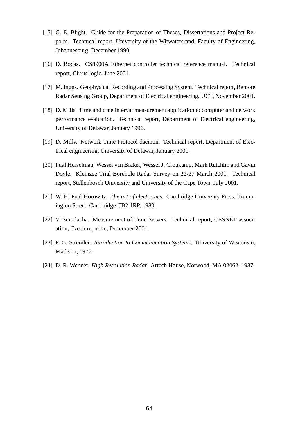- [15] G. E. Blight. Guide for the Preparation of Theses, Dissertations and Project Reports. Technical report, University of the Witwatersrand, Faculty of Engineering, Johannesburg, December 1990.
- [16] D. Bodas. CS8900A Ethernet controller technical reference manual. Technical report, Cirrus logic, June 2001.
- [17] M. Inggs. Geophysical Recording and Processing System. Technical report, Remote Radar Sensing Group, Department of Electrical engineering, UCT, November 2001.
- [18] D. Mills. Time and time interval measurement application to computer and network performance evaluation. Technical report, Department of Electrical engineering, University of Delawar, January 1996.
- [19] D. Mills. Network Time Protocol daemon. Technical report, Department of Electrical engineering, University of Delawar, January 2001.
- [20] Pual Herselman, Wessel van Brakel, Wessel J. Croukamp, Mark Rutchlin and Gavin Doyle. Kleinzee Trial Borehole Radar Survey on 22-27 March 2001. Technical report, Stellenbosch University and University of the Cape Town, July 2001.
- [21] W. H. Pual Horowitz. *The art of electronics*. Cambridge University Press, Trumpington Street, Cambridge CB2 1RP, 1980.
- [22] V. Smotlacha. Measurement of Time Servers. Technical report, CESNET association, Czech republic, December 2001.
- [23] F. G. Stremler. *Introduction to Communication Systems*. University of Wiscousin, Madison, 1977.
- [24] D. R. Wehner. *High Resolution Radar*. Artech House, Norwood, MA 02062, 1987.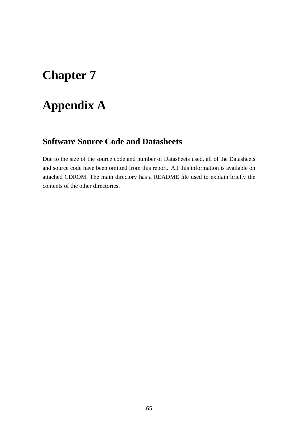# **Appendix A**

### **Software Source Code and Datasheets**

Due to the size of the source code and number of Datasheets used, all of the Datasheets and source code have been omitted from this report. All this information is available on attached CDROM. The main directory has a README file used to explain briefly the contents of the other directories.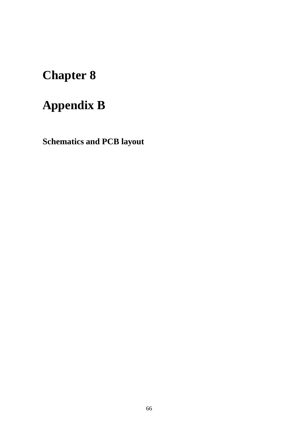# **Appendix B**

**Schematics and PCB layout**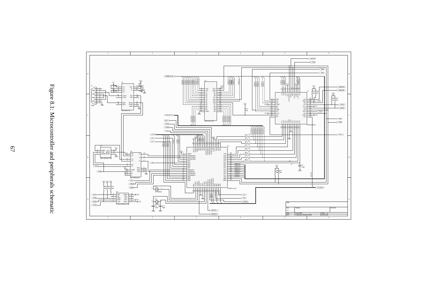



67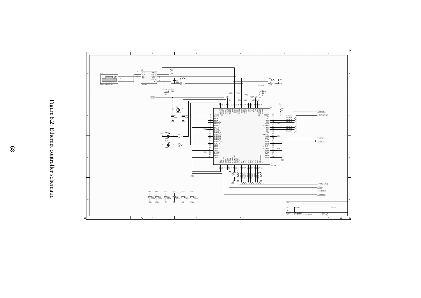

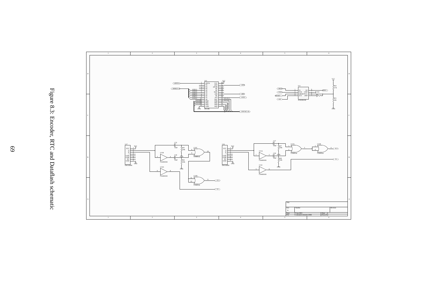

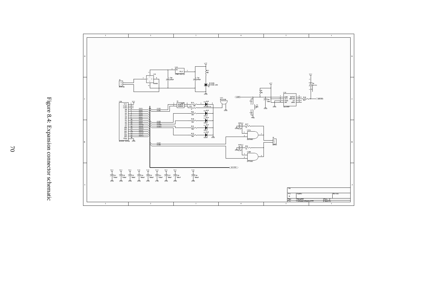

Figure 8.4: Expansion connector schematic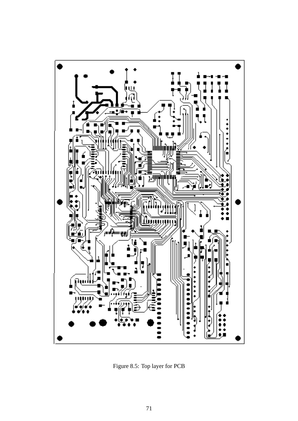

Figure 8.5: Top layer for PCB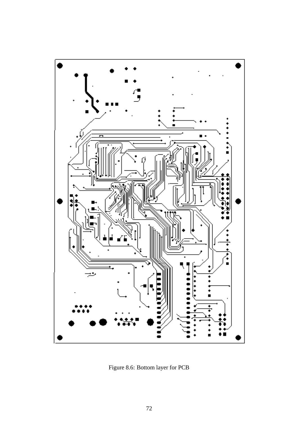

Figure 8.6: Bottom layer for PCB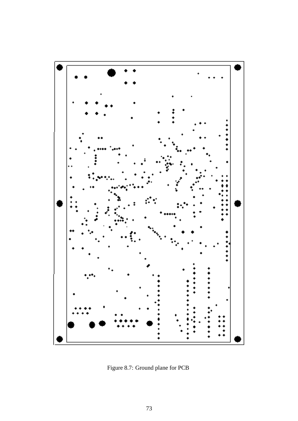

Figure 8.7: Ground plane for PCB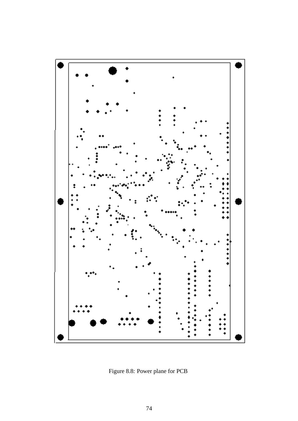

Figure 8.8: Power plane for PCB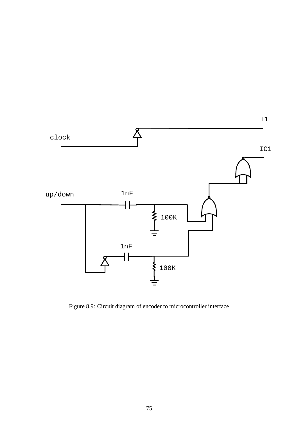

Figure 8.9: Circuit diagram of encoder to microcontroller interface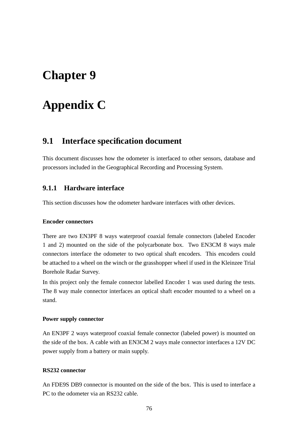# **Appendix C**

### **9.1 Interface specification document**

This document discusses how the odometer is interfaced to other sensors, database and processors included in the Geographical Recording and Processing System.

#### **9.1.1 Hardware interface**

This section discusses how the odometer hardware interfaces with other devices.

#### **Encoder connectors**

There are two EN3PF 8 ways waterproof coaxial female connectors (labeled Encoder 1 and 2) mounted on the side of the polycarbonate box. Two EN3CM 8 ways male connectors interface the odometer to two optical shaft encoders. This encoders could be attached to a wheel on the winch or the grasshopper wheel if used in the Kleinzee Trial Borehole Radar Survey.

In this project only the female connector labelled Encoder 1 was used during the tests. The 8 way male connector interfaces an optical shaft encoder mounted to a wheel on a stand.

#### **Power supply connector**

An EN3PF 2 ways waterproof coaxial female connector (labeled power) is mounted on the side of the box. A cable with an EN3CM 2 ways male connector interfaces a 12V DC power supply from a battery or main supply.

#### **RS232 connector**

An FDE9S DB9 connector is mounted on the side of the box. This is used to interface a PC to the odometer via an RS232 cable.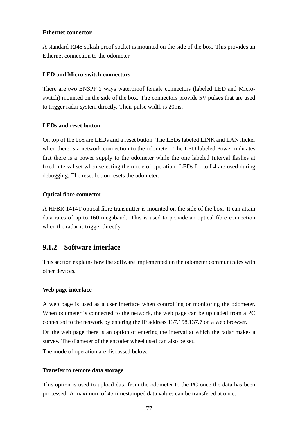#### **Ethernet connector**

A standard RJ45 splash proof socket is mounted on the side of the box. This provides an Ethernet connection to the odometer.

#### **LED and Micro-switch connectors**

There are two EN3PF 2 ways waterproof female connectors (labeled LED and Microswitch) mounted on the side of the box. The connectors provide 5V pulses that are used to trigger radar system directly. Their pulse width is 20ms.

#### **LEDs and reset button**

On top of the box are LEDs and a reset button. The LEDs labeled LINK and LAN flicker when there is a network connection to the odometer. The LED labeled Power indicates that there is a power supply to the odometer while the one labeled Interval flashes at fixed interval set when selecting the mode of operation. LEDs L1 to L4 are used during debugging. The reset button resets the odometer.

#### **Optical fibre connector**

A HFBR 1414T optical fibre transmitter is mounted on the side of the box. It can attain data rates of up to 160 megabaud. This is used to provide an optical fibre connection when the radar is trigger directly.

#### **9.1.2 Software interface**

This section explains how the software implemented on the odometer communicates with other devices.

#### **Web page interface**

A web page is used as a user interface when controlling or monitoring the odometer. When odometer is connected to the network, the web page can be uploaded from a PC connected to the network by entering the IP address 137.158.137.7 on a web browser.

On the web page there is an option of entering the interval at which the radar makes a survey. The diameter of the encoder wheel used can also be set.

The mode of operation are discussed below.

#### **Transfer to remote data storage**

This option is used to upload data from the odometer to the PC once the data has been processed. A maximum of 45 timestamped data values can be transfered at once.